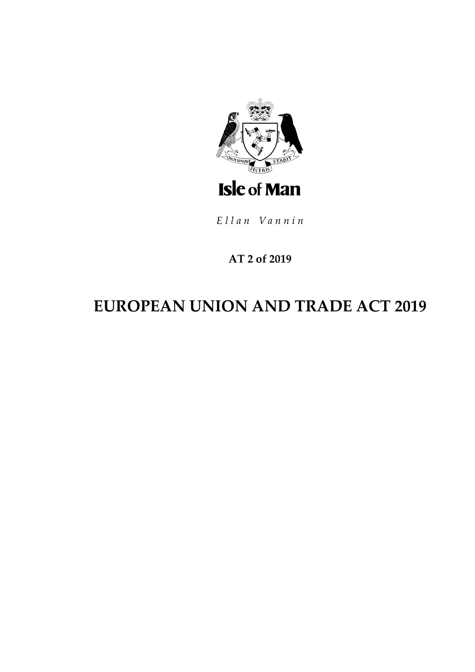

Ellan Vannin

# **AT 2 of 2019**

# **EUROPEAN UNION AND TRADE ACT 2019**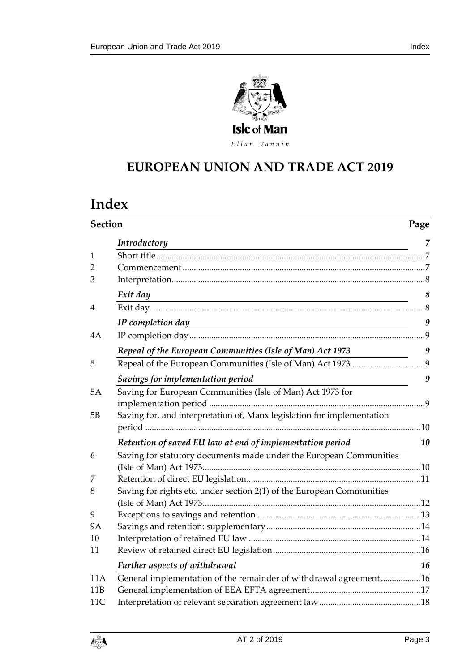



Ellan Vannin

# **EUROPEAN UNION AND T RADE ACT 2019**

# **Index**

|                 | Section                                                                |    |  |
|-----------------|------------------------------------------------------------------------|----|--|
|                 | Introductory                                                           | 7  |  |
| $\mathbf{1}$    |                                                                        |    |  |
| 2               |                                                                        |    |  |
| 3               |                                                                        |    |  |
|                 | Exit day                                                               | 8  |  |
| $\overline{4}$  |                                                                        |    |  |
|                 | IP completion day                                                      | 9  |  |
| 4A              |                                                                        |    |  |
|                 | Repeal of the European Communities (Isle of Man) Act 1973              | 9  |  |
| 5               |                                                                        |    |  |
|                 | Savings for implementation period                                      | 9  |  |
| 5A              | Saving for European Communities (Isle of Man) Act 1973 for             |    |  |
|                 |                                                                        |    |  |
| 5B              | Saving for, and interpretation of, Manx legislation for implementation |    |  |
|                 |                                                                        |    |  |
|                 | Retention of saved EU law at end of implementation period              | 10 |  |
| 6               | Saving for statutory documents made under the European Communities     |    |  |
|                 |                                                                        |    |  |
| 7               |                                                                        |    |  |
| 8               | Saving for rights etc. under section 2(1) of the European Communities  |    |  |
|                 |                                                                        |    |  |
| 9               |                                                                        |    |  |
| 9Α              |                                                                        |    |  |
| 10              |                                                                        |    |  |
| 11              |                                                                        |    |  |
|                 | Further aspects of withdrawal                                          | 16 |  |
| 11A             | General implementation of the remainder of withdrawal agreement16      |    |  |
| 11 <sub>B</sub> |                                                                        |    |  |
| 11C             |                                                                        |    |  |

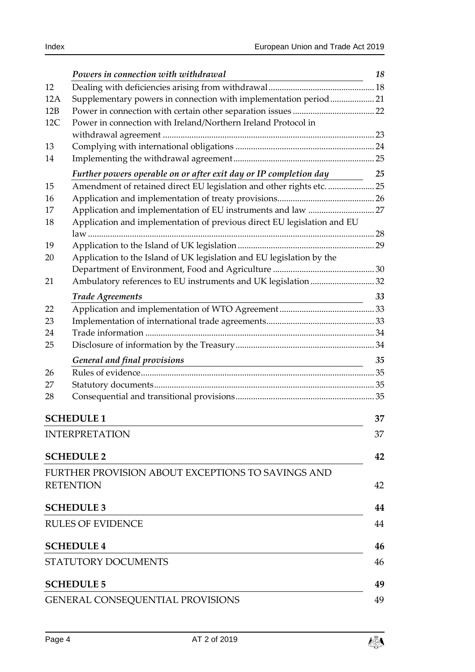|     | Powers in connection with withdrawal                                                                                                                  | 18 |  |  |
|-----|-------------------------------------------------------------------------------------------------------------------------------------------------------|----|--|--|
| 12  |                                                                                                                                                       |    |  |  |
| 12A | Supplementary powers in connection with implementation period21                                                                                       |    |  |  |
| 12B |                                                                                                                                                       |    |  |  |
| 12C | Power in connection with Ireland/Northern Ireland Protocol in                                                                                         |    |  |  |
|     |                                                                                                                                                       |    |  |  |
| 13  |                                                                                                                                                       |    |  |  |
| 14  |                                                                                                                                                       |    |  |  |
|     | Further powers operable on or after exit day or IP completion day                                                                                     | 25 |  |  |
| 15  | Amendment of retained direct EU legislation and other rights etc.  25                                                                                 |    |  |  |
| 16  |                                                                                                                                                       |    |  |  |
| 17  |                                                                                                                                                       |    |  |  |
| 18  | Application and implementation of previous direct EU legislation and EU                                                                               |    |  |  |
|     |                                                                                                                                                       |    |  |  |
| 19  |                                                                                                                                                       |    |  |  |
| 20  | Application to the Island of UK legislation and EU legislation by the                                                                                 |    |  |  |
|     |                                                                                                                                                       |    |  |  |
| 21  | Ambulatory references to EU instruments and UK legislation  32                                                                                        |    |  |  |
|     | <b>Trade Agreements</b>                                                                                                                               | 33 |  |  |
| 22  |                                                                                                                                                       |    |  |  |
| 23  |                                                                                                                                                       |    |  |  |
| 24  |                                                                                                                                                       |    |  |  |
| 25  |                                                                                                                                                       |    |  |  |
|     | General and final provisions<br><u> 1980 - Jan Sterling von Berling von Berling von Berling von Berling von Berling von Berling von Berling von B</u> | 35 |  |  |
| 26  |                                                                                                                                                       |    |  |  |
| 27  |                                                                                                                                                       |    |  |  |
| 28  |                                                                                                                                                       |    |  |  |
|     | <b>SCHEDULE 1</b>                                                                                                                                     | 37 |  |  |
|     | <b>INTERPRETATION</b>                                                                                                                                 | 37 |  |  |
|     |                                                                                                                                                       |    |  |  |
|     | <b>SCHEDULE 2</b>                                                                                                                                     | 42 |  |  |
|     | FURTHER PROVISION ABOUT EXCEPTIONS TO SAVINGS AND                                                                                                     |    |  |  |
|     | <b>RETENTION</b>                                                                                                                                      | 42 |  |  |
|     | <b>SCHEDULE 3</b>                                                                                                                                     | 44 |  |  |
|     | <b>RULES OF EVIDENCE</b>                                                                                                                              | 44 |  |  |
|     | <b>SCHEDULE 4</b>                                                                                                                                     | 46 |  |  |
|     |                                                                                                                                                       |    |  |  |
|     | STATUTORY DOCUMENTS                                                                                                                                   | 46 |  |  |
|     | <b>SCHEDULE 5</b>                                                                                                                                     | 49 |  |  |
|     | <b>GENERAL CONSEQUENTIAL PROVISIONS</b>                                                                                                               | 49 |  |  |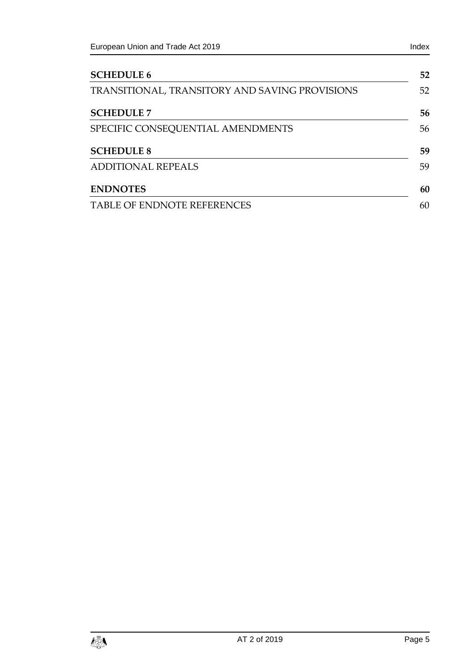| <b>SCHEDULE 6</b>                              | 52 |  |
|------------------------------------------------|----|--|
| TRANSITIONAL, TRANSITORY AND SAVING PROVISIONS |    |  |
| <b>SCHEDULE 7</b>                              | 56 |  |
| SPECIFIC CONSEQUENTIAL AMENDMENTS              | 56 |  |
| <b>SCHEDULE 8</b>                              | 59 |  |
| <b>ADDITIONAL REPEALS</b>                      | 59 |  |
| <b>ENDNOTES</b>                                | 60 |  |
| <b>TABLE OF ENDNOTE REFERENCES</b>             | 60 |  |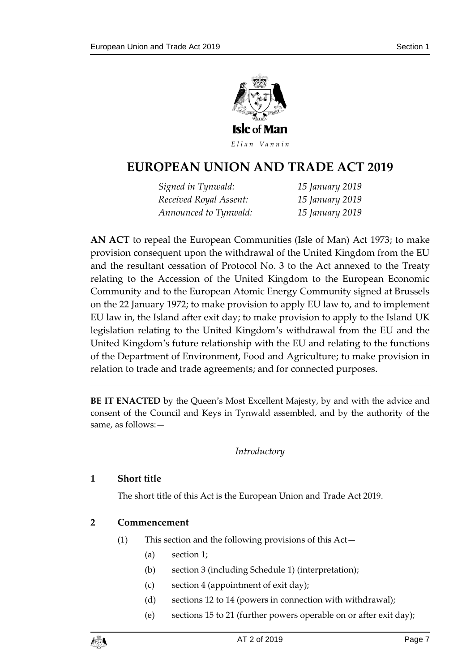

Ellan Vannin

# **EUROPEAN UNION AND T RADE ACT 2019**

*Signed in Tynwald: 15 January 2019 Received Royal Assent: 15 January 2019 Announced to Tynwald: 15 January 2019*

**AN ACT** to repeal the European Communities (Isle of Man) Act 1973; to make provision consequent upon the withdrawal of the United Kingdom from the EU and the resultant cessation of Protocol No. 3 to the Act annexed to the Treaty relating to the Accession of the United Kingdom to the European Economic Community and to the European Atomic Energy Community signed at Brussels on the 22 January 1972; to make provision to apply EU law to, and to implement EU law in, the Island after exit day; to make provision to apply to the Island UK legislation relating to the United Kingdom's withdrawal from the EU and the United Kingdom's future relationship with the EU and relating to the functions of the Department of Environment, Food and Agriculture; to make provision in relation to trade and trade agreements; and for connected purposes.

<span id="page-6-0"></span>**BE IT ENACTED** by the Queen's Most Excellent Majesty, by and with the advice and consent of the Council and Keys in Tynwald assembled, and by the authority of the same, as follows:—

#### *Introductory*

#### <span id="page-6-1"></span>**1 Short title**

The short title of this Act is the European Union and Trade Act 2019.

#### <span id="page-6-2"></span>**2 Commencement**

- (1) This section and the following provisions of this Act—
	- (a) section [1;](#page-6-1)
	- (b) section [3](#page-7-0) (including Schedule 1) (interpretation);
	- (c) section 4 (appointment of exit day);
	- (d) sections [12](#page-17-2) to [14](#page-24-0) (powers in connection with withdrawal);
	- (e) sections [15](#page-24-2) to [21](#page-31-0) (further powers operable on or after exit day);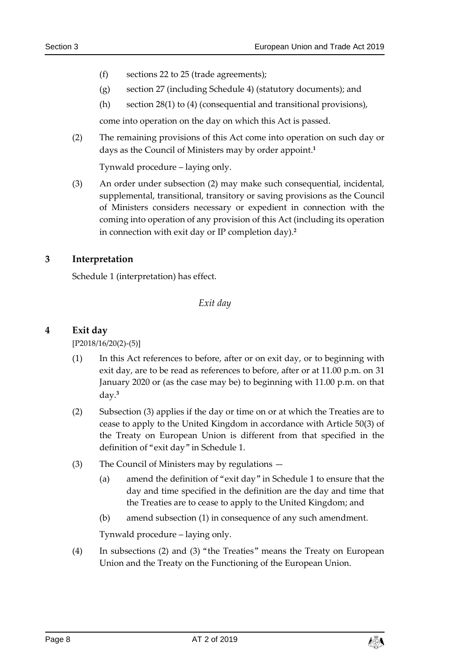- (f) sections [22](#page-32-1) to [25](#page-33-1) (trade agreements);
- (g) section [27](#page-34-2) (including Schedule 4) (statutory documents); and
- (h) section [28\(](#page-34-3)1) to (4) (consequential and transitional provisions),

come into operation on the day on which this Act is passed.

(2) The remaining provisions of this Act come into operation on such day or days as the Council of Ministers may by order appoint. **1**

Tynwald procedure – laying only.

<span id="page-7-3"></span>(3) An order under subsection (2) may make such consequential, incidental, supplemental, transitional, transitory or saving provisions as the Council of Ministers considers necessary or expedient in connection with the coming into operation of any provision of this Act (including its operation in connection with exit day or IP completion day). **2**

#### <span id="page-7-1"></span><span id="page-7-0"></span>**3 Interpretation**

Schedule 1 (interpretation) has effect.

#### *Exit day*

#### <span id="page-7-2"></span>**4 Exit day**

[P2018/16/20(2)-(5)]

- (1) In this Act references to before, after or on exit day, or to beginning with exit day, are to be read as references to before, after or at 11.00 p.m. on 31 January 2020 or (as the case may be) to beginning with 11.00 p.m. on that day. **3**
- (2) Subsection (3) applies if the day or time on or at which the Treaties are to cease to apply to the United Kingdom in accordance with Article 50(3) of the Treaty on European Union is different from that specified in the definition of "exit day" in Schedule 1.
- (3) The Council of Ministers may by regulations
	- (a) amend the definition of "exit day" in Schedule 1 to ensure that the day and time specified in the definition are the day and time that the Treaties are to cease to apply to the United Kingdom; and
	- (b) amend subsection (1) in consequence of any such amendment.

Tynwald procedure – laying only.

(4) In subsections (2) and (3) "the Treaties" means the Treaty on European Union and the Treaty on the Functioning of the European Union.

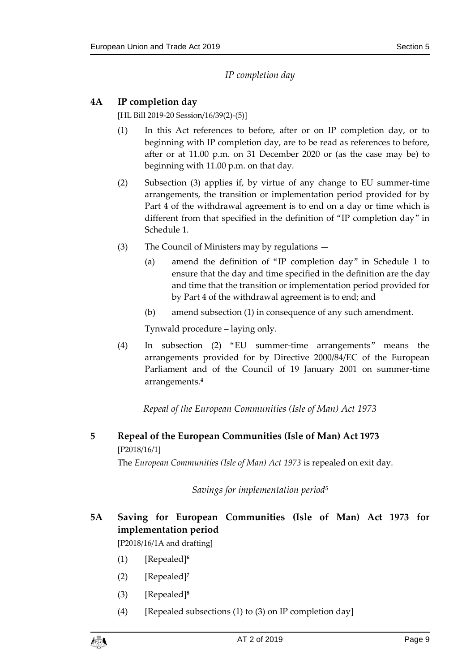## *IP completion day*

## <span id="page-8-1"></span><span id="page-8-0"></span>**4A IP completion day**

[HL Bill 2019-20 Session/16/39(2)-(5)]

- (1) In this Act references to before, after or on IP completion day, or to beginning with IP completion day, are to be read as references to before, after or at 11.00 p.m. on 31 December 2020 or (as the case may be) to beginning with 11.00 p.m. on that day.
- (2) Subsection (3) applies if, by virtue of any change to EU summer-time arrangements, the transition or implementation period provided for by Part 4 of the withdrawal agreement is to end on a day or time which is different from that specified in the definition of "IP completion day" in Schedule 1.
- (3) The Council of Ministers may by regulations
	- (a) amend the definition of "IP completion day" in Schedule 1 to ensure that the day and time specified in the definition are the day and time that the transition or implementation period provided for by Part 4 of the withdrawal agreement is to end; and
	- (b) amend subsection (1) in consequence of any such amendment.

Tynwald procedure – laying only.

(4) In subsection (2) "EU summer-time arrangements" means the arrangements provided for by Directive 2000/84/EC of the European Parliament and of the Council of 19 January 2001 on summer-time arrangements.**<sup>4</sup>**

*Repeal of the European Communities (Isle of Man) Act 1973*

<span id="page-8-4"></span><span id="page-8-3"></span><span id="page-8-2"></span>**5 Repeal of the European Communities (Isle of Man) Act 1973** [P2018/16/1] The *European Communities (Isle of Man) Act 1973* is repealed on exit day.

*Savings for implementation period<sup>5</sup>*

<span id="page-8-5"></span>**5A Saving for European Communities (Isle of Man) Act 1973 for implementation period**

[P2018/16/1A and drafting]

- (1) [Repealed]**<sup>6</sup>**
- (2) [Repealed]**<sup>7</sup>**
- (3) [Repealed]**<sup>8</sup>**
- (4) [Repealed subsections (1) to (3) on IP completion day]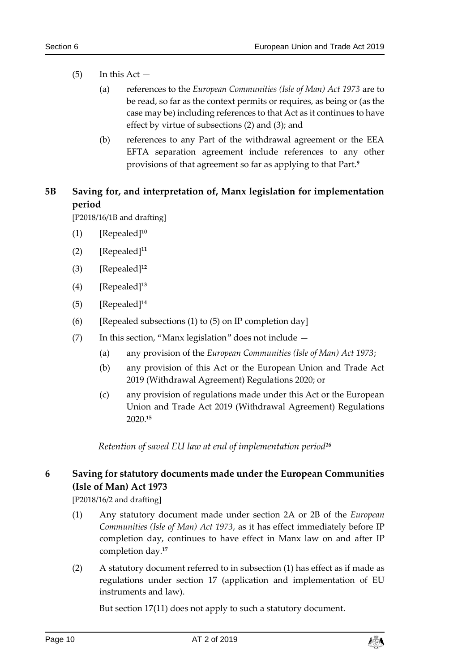- $(5)$  In this Act  $-$ 
	- (a) references to the *European Communities (Isle of Man) Act 1973* are to be read, so far as the context permits or requires, as being or (as the case may be) including references to that Act as it continues to have effect by virtue of subsections (2) and (3); and
	- (b) references to any Part of the withdrawal agreement or the EEA EFTA separation agreement include references to any other provisions of that agreement so far as applying to that Part.**<sup>9</sup>**

## <span id="page-9-0"></span>**5B Saving for, and interpretation of, Manx legislation for implementation period**

[P2018/16/1B and drafting]

- (1) [Repealed]**<sup>10</sup>**
- (2) [Repealed]**<sup>11</sup>**
- (3) [Repealed]**<sup>12</sup>**
- (4) [Repealed]**<sup>13</sup>**
- (5) [Repealed]**<sup>14</sup>**
- (6) [Repealed subsections (1) to (5) on IP completion day]
- (7) In this section, "Manx legislation" does not include
	- (a) any provision of the *European Communities (Isle of Man) Act 1973*;
	- (b) any provision of this Act or the European Union and Trade Act 2019 (Withdrawal Agreement) Regulations 2020; or
	- (c) any provision of regulations made under this Act or the European Union and Trade Act 2019 (Withdrawal Agreement) Regulations 2020.**<sup>15</sup>**

*Retention of saved EU law at end of implementation period<sup>16</sup>*

## <span id="page-9-2"></span><span id="page-9-1"></span>**6 Saving for statutory documents made under the European Communities (Isle of Man) Act 1973**

[P2018/16/2 and drafting]

- (1) Any statutory document made under section 2A or 2B of the *European Communities (Isle of Man) Act 1973*, as it has effect immediately before IP completion day, continues to have effect in Manx law on and after IP completion day.**<sup>17</sup>**
- (2) A statutory document referred to in subsection (1) has effect as if made as regulations under section [17](#page-26-0) (application and implementation of EU instruments and law).

But section [17\(11\)](#page-27-1) does not apply to such a statutory document.

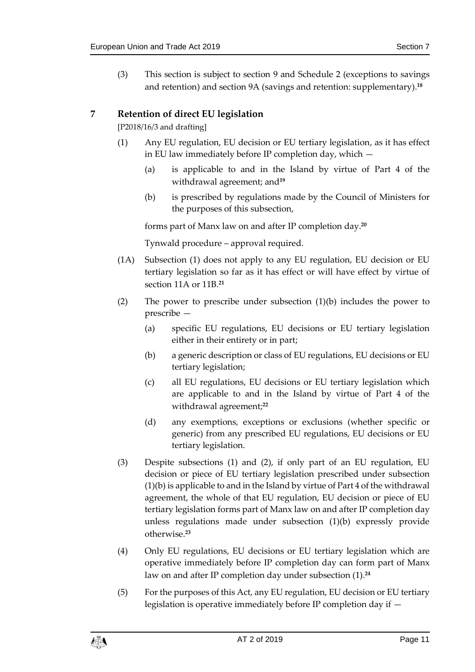(3) This section is subject to section [9](#page-12-0) and Schedule 2 (exceptions to savings and retention) and section 9A (savings and retention: supplementary). **18**

## <span id="page-10-1"></span><span id="page-10-0"></span>**7 Retention of direct EU legislation**

[P2018/16/3 and drafting]

- (1) Any EU regulation, EU decision or EU tertiary legislation, as it has effect in EU law immediately before IP completion day, which —
	- (a) is applicable to and in the Island by virtue of Part 4 of the withdrawal agreement; and**<sup>19</sup>**
	- (b) is prescribed by regulations made by the Council of Ministers for the purposes of this subsection,

forms part of Manx law on and after IP completion day.**<sup>20</sup>**

Tynwald procedure – approval required.

- (1A) Subsection (1) does not apply to any EU regulation, EU decision or EU tertiary legislation so far as it has effect or will have effect by virtue of section 11A or 11B.**<sup>21</sup>**
- (2) The power to prescribe under subsection (1)(b) includes the power to prescribe —
	- (a) specific EU regulations, EU decisions or EU tertiary legislation either in their entirety or in part;
	- (b) a generic description or class of EU regulations, EU decisions or EU tertiary legislation;
	- (c) all EU regulations, EU decisions or EU tertiary legislation which are applicable to and in the Island by virtue of Part 4 of the withdrawal agreement;**<sup>22</sup>**
	- (d) any exemptions, exceptions or exclusions (whether specific or generic) from any prescribed EU regulations, EU decisions or EU tertiary legislation.
- (3) Despite subsections (1) and (2), if only part of an EU regulation, EU decision or piece of EU tertiary legislation prescribed under subsection (1)(b) is applicable to and in the Island by virtue of Part 4 of the withdrawal agreement, the whole of that EU regulation, EU decision or piece of EU tertiary legislation forms part of Manx law on and after IP completion day unless regulations made under subsection (1)(b) expressly provide otherwise.**<sup>23</sup>**
- (4) Only EU regulations, EU decisions or EU tertiary legislation which are operative immediately before IP completion day can form part of Manx law on and after IP completion day under subsection (1). **24**
- (5) For the purposes of this Act, any EU regulation, EU decision or EU tertiary legislation is operative immediately before IP completion day if —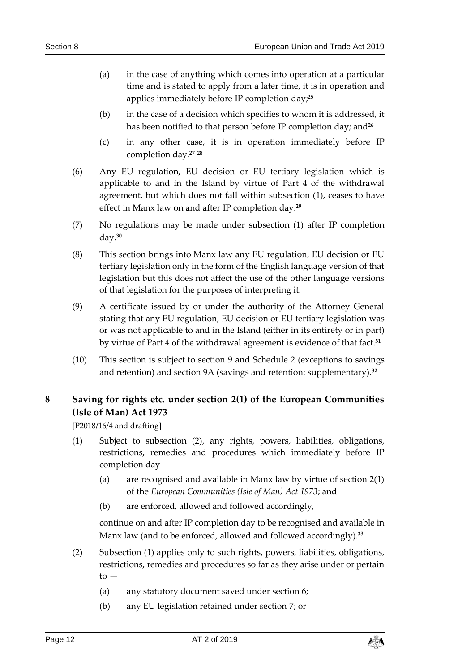- (a) in the case of anything which comes into operation at a particular time and is stated to apply from a later time, it is in operation and applies immediately before IP completion day;**<sup>25</sup>**
- (b) in the case of a decision which specifies to whom it is addressed, it has been notified to that person before IP completion day; and<sup>26</sup>
- (c) in any other case, it is in operation immediately before IP completion day.**<sup>27</sup> <sup>28</sup>**
- (6) Any EU regulation, EU decision or EU tertiary legislation which is applicable to and in the Island by virtue of Part 4 of the withdrawal agreement, but which does not fall within subsection (1), ceases to have effect in Manx law on and after IP completion day. **29**
- (7) No regulations may be made under subsection (1) after IP completion day.**<sup>30</sup>**
- (8) This section brings into Manx law any EU regulation, EU decision or EU tertiary legislation only in the form of the English language version of that legislation but this does not affect the use of the other language versions of that legislation for the purposes of interpreting it.
- (9) A certificate issued by or under the authority of the Attorney General stating that any EU regulation, EU decision or EU tertiary legislation was or was not applicable to and in the Island (either in its entirety or in part) by virtue of Part 4 of the withdrawal agreement is evidence of that fact.**<sup>31</sup>**
- (10) This section is subject to section [9](#page-12-0) and Schedule 2 (exceptions to savings and retention) and section 9A (savings and retention: supplementary). **32**

## <span id="page-11-0"></span>**8 Saving for rights etc. under section 2(1) of the European Communities (Isle of Man) Act 1973**

[P2018/16/4 and drafting]

- (1) Subject to subsection (2), any rights, powers, liabilities, obligations, restrictions, remedies and procedures which immediately before IP completion day —
	- (a) are recognised and available in Manx law by virtue of section 2(1) of the *European Communities (Isle of Man) Act 1973*; and
	- (b) are enforced, allowed and followed accordingly,

continue on and after IP completion day to be recognised and available in Manx law (and to be enforced, allowed and followed accordingly).**<sup>33</sup>**

- (2) Subsection (1) applies only to such rights, powers, liabilities, obligations, restrictions, remedies and procedures so far as they arise under or pertain  $to -$ 
	- (a) any statutory document saved under section [6;](#page-9-2)
	- (b) any EU legislation retained under section [7;](#page-10-0) or

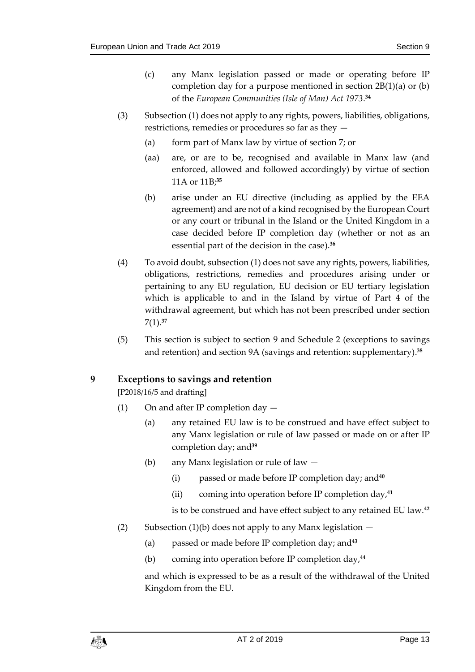- (c) any Manx legislation passed or made or operating before IP completion day for a purpose mentioned in section 2B(1)(a) or (b) of the *European Communities (Isle of Man) Act 1973*. **34**
- <span id="page-12-1"></span>(3) Subsection (1) does not apply to any rights, powers, liabilities, obligations, restrictions, remedies or procedures so far as they —
	- (a) form part of Manx law by virtue of sectio[n 7;](#page-10-0) or
	- (aa) are, or are to be, recognised and available in Manx law (and enforced, allowed and followed accordingly) by virtue of section 11A or 11B;**<sup>35</sup>**
	- (b) arise under an EU directive (including as applied by the EEA agreement) and are not of a kind recognised by the European Court or any court or tribunal in the Island or the United Kingdom in a case decided before IP completion day (whether or not as an essential part of the decision in the case).**<sup>36</sup>**
- (4) To avoid doubt, subsection (1) does not save any rights, powers, liabilities, obligations, restrictions, remedies and procedures arising under or pertaining to any EU regulation, EU decision or EU tertiary legislation which is applicable to and in the Island by virtue of Part 4 of the withdrawal agreement, but which has not been prescribed under section [7\(1\).](#page-10-1) **37**
- (5) This section is subject to section [9](#page-12-0) and Schedule 2 (exceptions to savings and retention) and section 9A (savings and retention: supplementary). **38**

#### <span id="page-12-0"></span>**9 Exceptions to savings and retention**

[P2018/16/5 and drafting]

- (1) On and after IP completion day
	- (a) any retained EU law is to be construed and have effect subject to any Manx legislation or rule of law passed or made on or after IP completion day; and**<sup>39</sup>**
	- (b) any Manx legislation or rule of law
		- (i) passed or made before IP completion day; and**<sup>40</sup>**
		- (ii) coming into operation before IP completion day,**<sup>41</sup>**

is to be construed and have effect subject to any retained EU law.**<sup>42</sup>**

- (2) Subsection (1)(b) does not apply to any Manx legislation  $-$ 
	- (a) passed or made before IP completion day; and**<sup>43</sup>**
	- (b) coming into operation before IP completion day,**<sup>44</sup>**

and which is expressed to be as a result of the withdrawal of the United Kingdom from the EU.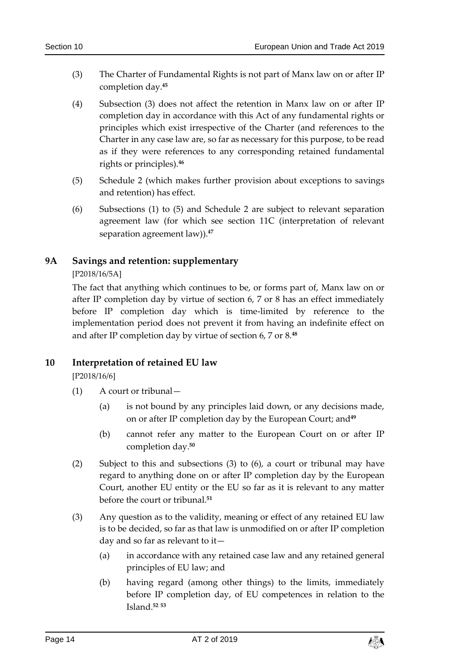- (3) The Charter of Fundamental Rights is not part of Manx law on or after IP completion day.**<sup>45</sup>**
- (4) Subsection (3) does not affect the retention in Manx law on or after IP completion day in accordance with this Act of any fundamental rights or principles which exist irrespective of the Charter (and references to the Charter in any case law are, so far as necessary for this purpose, to be read as if they were references to any corresponding retained fundamental rights or principles).**<sup>46</sup>**
- <span id="page-13-3"></span>(5) Schedule 2 (which makes further provision about exceptions to savings and retention) has effect.
- (6) Subsections (1) to (5) and Schedule 2 are subject to relevant separation agreement law (for which see section 11C (interpretation of relevant separation agreement law)).**<sup>47</sup>**

## <span id="page-13-0"></span>**9A Savings and retention: supplementary**

[P2018/16/5A]

The fact that anything which continues to be, or forms part of, Manx law on or after IP completion day by virtue of section 6, 7 or 8 has an effect immediately before IP completion day which is time-limited by reference to the implementation period does not prevent it from having an indefinite effect on and after IP completion day by virtue of section 6, 7 or 8.**<sup>48</sup>**

## <span id="page-13-1"></span>**10 Interpretation of retained EU law**

[P2018/16/6]

- (1) A court or tribunal—
	- (a) is not bound by any principles laid down, or any decisions made, on or after IP completion day by the European Court; and**<sup>49</sup>**
	- (b) cannot refer any matter to the European Court on or after IP completion day.**<sup>50</sup>**
- (2) Subject to this and subsections (3) to (6), a court or tribunal may have regard to anything done on or after IP completion day by the European Court, another EU entity or the EU so far as it is relevant to any matter before the court or tribunal. **51**
- <span id="page-13-2"></span>(3) Any question as to the validity, meaning or effect of any retained EU law is to be decided, so far as that law is unmodified on or after IP completion day and so far as relevant to it—
	- (a) in accordance with any retained case law and any retained general principles of EU law; and
	- (b) having regard (among other things) to the limits, immediately before IP completion day, of EU competences in relation to the Island. **52 53**

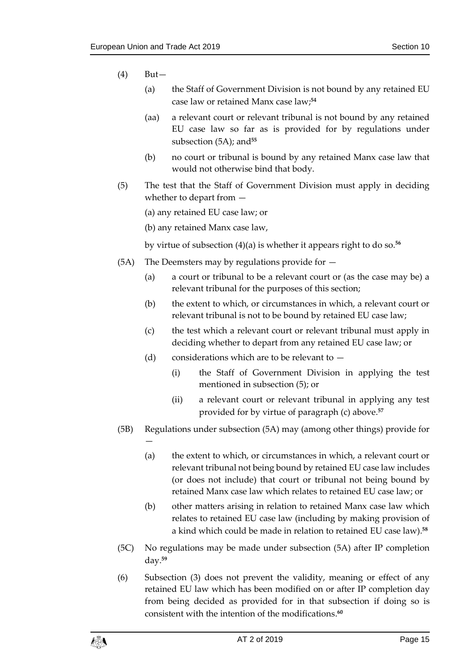(4) But—

—

- (a) the Staff of Government Division is not bound by any retained EU case law or retained Manx case law; **54**
- (aa) a relevant court or relevant tribunal is not bound by any retained EU case law so far as is provided for by regulations under subsection (5A); and**<sup>55</sup>**
- (b) no court or tribunal is bound by any retained Manx case law that would not otherwise bind that body.
- (5) The test that the Staff of Government Division must apply in deciding whether to depart from —

(a) any retained EU case law; or

(b) any retained Manx case law,

by virtue of subsection (4)(a) is whether it appears right to do so.**<sup>56</sup>**

- (5A) The Deemsters may by regulations provide for  $-$ 
	- (a) a court or tribunal to be a relevant court or (as the case may be) a relevant tribunal for the purposes of this section;
	- (b) the extent to which, or circumstances in which, a relevant court or relevant tribunal is not to be bound by retained EU case law;
	- (c) the test which a relevant court or relevant tribunal must apply in deciding whether to depart from any retained EU case law; or
	- (d) considerations which are to be relevant to
		- (i) the Staff of Government Division in applying the test mentioned in subsection (5); or
		- (ii) a relevant court or relevant tribunal in applying any test provided for by virtue of paragraph (c) above.**<sup>57</sup>**
- (5B) Regulations under subsection (5A) may (among other things) provide for
	- (a) the extent to which, or circumstances in which, a relevant court or relevant tribunal not being bound by retained EU case law includes (or does not include) that court or tribunal not being bound by retained Manx case law which relates to retained EU case law; or
	- (b) other matters arising in relation to retained Manx case law which relates to retained EU case law (including by making provision of a kind which could be made in relation to retained EU case law).**<sup>58</sup>**
- (5C) No regulations may be made under subsection (5A) after IP completion day.**<sup>59</sup>**
- (6) Subsection (3) does not prevent the validity, meaning or effect of any retained EU law which has been modified on or after IP completion day from being decided as provided for in that subsection if doing so is consistent with the intention of the modifications. **60**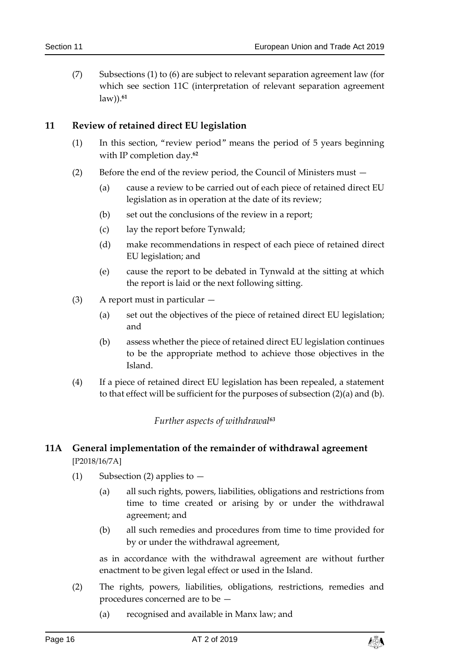(7) Subsections (1) to (6) are subject to relevant separation agreement law (for which see section 11C (interpretation of relevant separation agreement law)).**<sup>61</sup>**

#### <span id="page-15-3"></span><span id="page-15-0"></span>**11 Review of retained direct EU legislation**

- (1) In this section, "review period" means the period of 5 years beginning with IP completion day.**<sup>62</sup>**
- (2) Before the end of the review period, the Council of Ministers must
	- (a) cause a review to be carried out of each piece of retained direct EU legislation as in operation at the date of its review;
	- (b) set out the conclusions of the review in a report;
	- (c) lay the report before Tynwald;
	- (d) make recommendations in respect of each piece of retained direct EU legislation; and
	- (e) cause the report to be debated in Tynwald at the sitting at which the report is laid or the next following sitting.
- (3) A report must in particular
	- (a) set out the objectives of the piece of retained direct EU legislation; and
	- (b) assess whether the piece of retained direct EU legislation continues to be the appropriate method to achieve those objectives in the Island.
- <span id="page-15-1"></span>(4) If a piece of retained direct EU legislation has been repealed, a statement to that effect will be sufficient for the purposes of subsection (2)(a) and (b).

*Further aspects of withdrawal<sup>63</sup>*

## <span id="page-15-2"></span>**11A General implementation of the remainder of withdrawal agreement** [P2018/16/7A]

- (1) Subsection (2) applies to  $-$ 
	- (a) all such rights, powers, liabilities, obligations and restrictions from time to time created or arising by or under the withdrawal agreement; and
	- (b) all such remedies and procedures from time to time provided for by or under the withdrawal agreement,

as in accordance with the withdrawal agreement are without further enactment to be given legal effect or used in the Island.

- (2) The rights, powers, liabilities, obligations, restrictions, remedies and procedures concerned are to be —
	- (a) recognised and available in Manx law; and

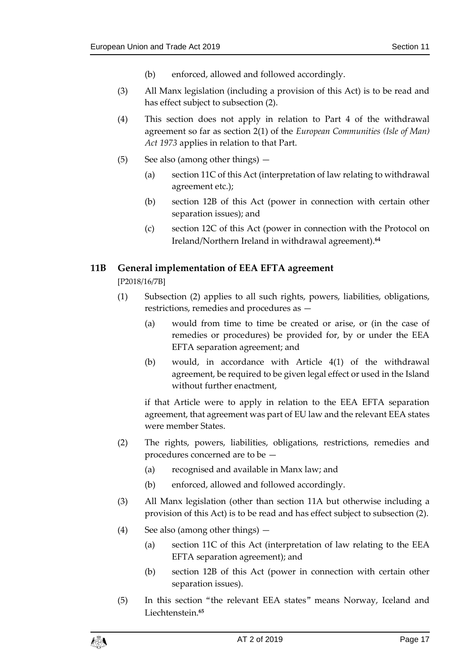- (b) enforced, allowed and followed accordingly.
- (3) All Manx legislation (including a provision of this Act) is to be read and has effect subject to subsection (2).
- (4) This section does not apply in relation to Part 4 of the withdrawal agreement so far as section 2(1) of the *European Communities (Isle of Man) Act 1973* applies in relation to that Part.
- (5) See also (among other things)
	- (a) section 11C of this Act (interpretation of law relating to withdrawal agreement etc.);
	- (b) section 12B of this Act (power in connection with certain other separation issues); and
	- (c) section 12C of this Act (power in connection with the Protocol on Ireland/Northern Ireland in withdrawal agreement).**<sup>64</sup>**

#### <span id="page-16-0"></span>**11B General implementation of EEA EFTA agreement**

[P2018/16/7B]

- (1) Subsection (2) applies to all such rights, powers, liabilities, obligations, restrictions, remedies and procedures as —
	- (a) would from time to time be created or arise, or (in the case of remedies or procedures) be provided for, by or under the EEA EFTA separation agreement; and
	- (b) would, in accordance with Article 4(1) of the withdrawal agreement, be required to be given legal effect or used in the Island without further enactment,

if that Article were to apply in relation to the EEA EFTA separation agreement, that agreement was part of EU law and the relevant EEA states were member States.

- (2) The rights, powers, liabilities, obligations, restrictions, remedies and procedures concerned are to be —
	- (a) recognised and available in Manx law; and
	- (b) enforced, allowed and followed accordingly.
- (3) All Manx legislation (other than section 11A but otherwise including a provision of this Act) is to be read and has effect subject to subsection (2).
- (4) See also (among other things)
	- (a) section 11C of this Act (interpretation of law relating to the EEA EFTA separation agreement); and
	- (b) section 12B of this Act (power in connection with certain other separation issues).
- (5) In this section "the relevant EEA states" means Norway, Iceland and Liechtenstein.**65**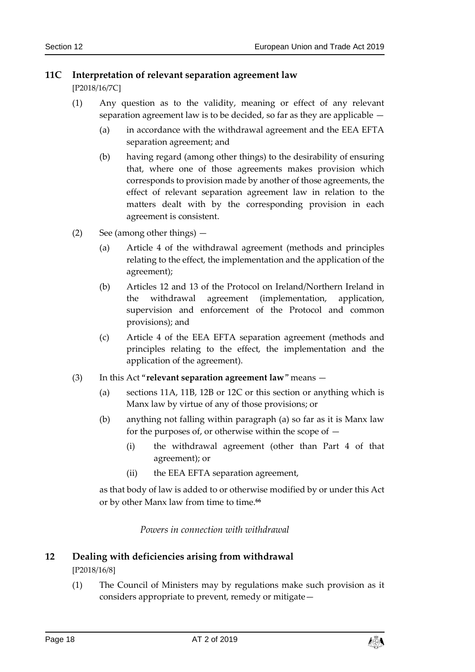## <span id="page-17-0"></span>**11C Interpretation of relevant separation agreement law**

[P2018/16/7C]

- (1) Any question as to the validity, meaning or effect of any relevant separation agreement law is to be decided, so far as they are applicable —
	- (a) in accordance with the withdrawal agreement and the EEA EFTA separation agreement; and
	- (b) having regard (among other things) to the desirability of ensuring that, where one of those agreements makes provision which corresponds to provision made by another of those agreements, the effect of relevant separation agreement law in relation to the matters dealt with by the corresponding provision in each agreement is consistent.
- (2) See (among other things)
	- (a) Article 4 of the withdrawal agreement (methods and principles relating to the effect, the implementation and the application of the agreement);
	- (b) Articles 12 and 13 of the Protocol on Ireland/Northern Ireland in the withdrawal agreement (implementation, application, supervision and enforcement of the Protocol and common provisions); and
	- (c) Article 4 of the EEA EFTA separation agreement (methods and principles relating to the effect, the implementation and the application of the agreement).
- (3) In this Act "**relevant separation agreement law**" means
	- (a) sections 11A, 11B, 12B or 12C or this section or anything which is Manx law by virtue of any of those provisions; or
	- (b) anything not falling within paragraph (a) so far as it is Manx law for the purposes of, or otherwise within the scope of  $-$ 
		- (i) the withdrawal agreement (other than Part 4 of that agreement); or
		- (ii) the EEA EFTA separation agreement,

as that body of law is added to or otherwise modified by or under this Act or by other Manx law from time to time.**<sup>66</sup>**

*Powers in connection with withdrawal*

## <span id="page-17-2"></span><span id="page-17-1"></span>**12 Dealing with deficiencies arising from withdrawal** [P2018/16/8]

(1) The Council of Ministers may by regulations make such provision as it considers appropriate to prevent, remedy or mitigate—

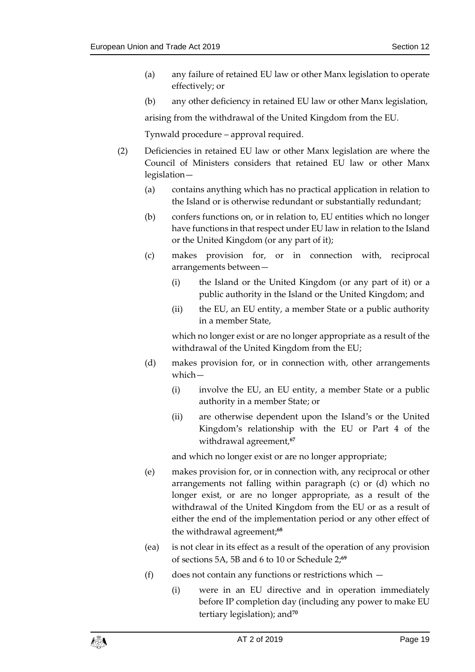- (a) any failure of retained EU law or other Manx legislation to operate effectively; or
- (b) any other deficiency in retained EU law or other Manx legislation,

arising from the withdrawal of the United Kingdom from the EU.

Tynwald procedure – approval required.

- (2) Deficiencies in retained EU law or other Manx legislation are where the Council of Ministers considers that retained EU law or other Manx legislation—
	- (a) contains anything which has no practical application in relation to the Island or is otherwise redundant or substantially redundant;
	- (b) confers functions on, or in relation to, EU entities which no longer have functions in that respect under EU law in relation to the Island or the United Kingdom (or any part of it);
	- (c) makes provision for, or in connection with, reciprocal arrangements between—
		- (i) the Island or the United Kingdom (or any part of it) or a public authority in the Island or the United Kingdom; and
		- (ii) the EU, an EU entity, a member State or a public authority in a member State,

which no longer exist or are no longer appropriate as a result of the withdrawal of the United Kingdom from the EU;

- (d) makes provision for, or in connection with, other arrangements which—
	- (i) involve the EU, an EU entity, a member State or a public authority in a member State; or
	- (ii) are otherwise dependent upon the Island's or the United Kingdom's relationship with the EU or Part 4 of the withdrawal agreement, **67**

and which no longer exist or are no longer appropriate;

- (e) makes provision for, or in connection with, any reciprocal or other arrangements not falling within paragraph (c) or (d) which no longer exist, or are no longer appropriate, as a result of the withdrawal of the United Kingdom from the EU or as a result of either the end of the implementation period or any other effect of the withdrawal agreement; **68**
- (ea) is not clear in its effect as a result of the operation of any provision of sections 5A, 5B and 6 to 10 or Schedule 2;**<sup>69</sup>**
- (f) does not contain any functions or restrictions which
	- (i) were in an EU directive and in operation immediately before IP completion day (including any power to make EU tertiary legislation); and**70**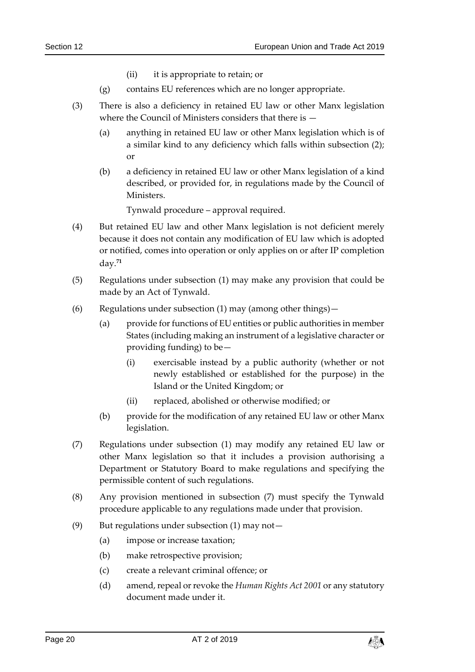- (ii) it is appropriate to retain; or
- (g) contains EU references which are no longer appropriate.
- (3) There is also a deficiency in retained EU law or other Manx legislation where the Council of Ministers considers that there is —
	- (a) anything in retained EU law or other Manx legislation which is of a similar kind to any deficiency which falls within subsection (2); or
	- (b) a deficiency in retained EU law or other Manx legislation of a kind described, or provided for, in regulations made by the Council of Ministers.

Tynwald procedure – approval required.

- (4) But retained EU law and other Manx legislation is not deficient merely because it does not contain any modification of EU law which is adopted or notified, comes into operation or only applies on or after IP completion day.**<sup>71</sup>**
- (5) Regulations under subsection (1) may make any provision that could be made by an Act of Tynwald.
- (6) Regulations under subsection (1) may (among other things)—
	- (a) provide for functions of EU entities or public authorities in member States (including making an instrument of a legislative character or providing funding) to be—
		- (i) exercisable instead by a public authority (whether or not newly established or established for the purpose) in the Island or the United Kingdom; or
		- (ii) replaced, abolished or otherwise modified; or
	- (b) provide for the modification of any retained EU law or other Manx legislation.
- (7) Regulations under subsection (1) may modify any retained EU law or other Manx legislation so that it includes a provision authorising a Department or Statutory Board to make regulations and specifying the permissible content of such regulations.
- (8) Any provision mentioned in subsection (7) must specify the Tynwald procedure applicable to any regulations made under that provision.
- (9) But regulations under subsection (1) may not—
	- (a) impose or increase taxation;
	- (b) make retrospective provision;
	- (c) create a relevant criminal offence; or
	- (d) amend, repeal or revoke the *Human Rights Act 2001* or any statutory document made under it.

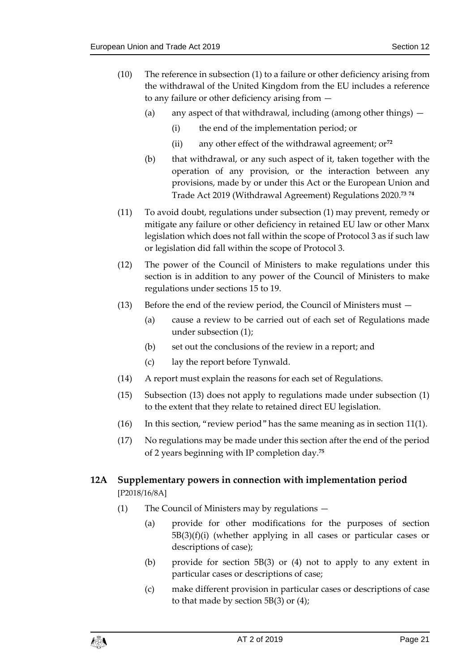- (10) The reference in subsection (1) to a failure or other deficiency arising from the withdrawal of the United Kingdom from the EU includes a reference to any failure or other deficiency arising from —
	- (a) any aspect of that withdrawal, including (among other things)
		- (i) the end of the implementation period; or
		- (ii) any other effect of the withdrawal agreement; or**<sup>72</sup>**
	- (b) that withdrawal, or any such aspect of it, taken together with the operation of any provision, or the interaction between any provisions, made by or under this Act or the European Union and Trade Act 2019 (Withdrawal Agreement) Regulations 2020. **73 74**
- (11) To avoid doubt, regulations under subsection (1) may prevent, remedy or mitigate any failure or other deficiency in retained EU law or other Manx legislation which does not fall within the scope of Protocol 3 as if such law or legislation did fall within the scope of Protocol 3.
- (12) The power of the Council of Ministers to make regulations under this section is in addition to any power of the Council of Ministers to make regulations under sections [15](#page-24-2) to [19.](#page-28-0)
- (13) Before the end of the review period, the Council of Ministers must
	- (a) cause a review to be carried out of each set of Regulations made under subsection (1);
	- (b) set out the conclusions of the review in a report; and
	- (c) lay the report before Tynwald.
- (14) A report must explain the reasons for each set of Regulations.
- (15) Subsection (13) does not apply to regulations made under subsection (1) to the extent that they relate to retained direct EU legislation.
- (16) In this section, "review period" has the same meaning as in section [11\(1\).](#page-15-3)
- (17) No regulations may be made under this section after the end of the period of 2 years beginning with IP completion day.**<sup>75</sup>**

## <span id="page-20-0"></span>**12A Supplementary powers in connection with implementation period** [P2018/16/8A]

- (1) The Council of Ministers may by regulations
	- (a) provide for other modifications for the purposes of section 5B(3)(f)(i) (whether applying in all cases or particular cases or descriptions of case);
	- (b) provide for section 5B(3) or (4) not to apply to any extent in particular cases or descriptions of case;
	- (c) make different provision in particular cases or descriptions of case to that made by section  $5B(3)$  or  $(4)$ ;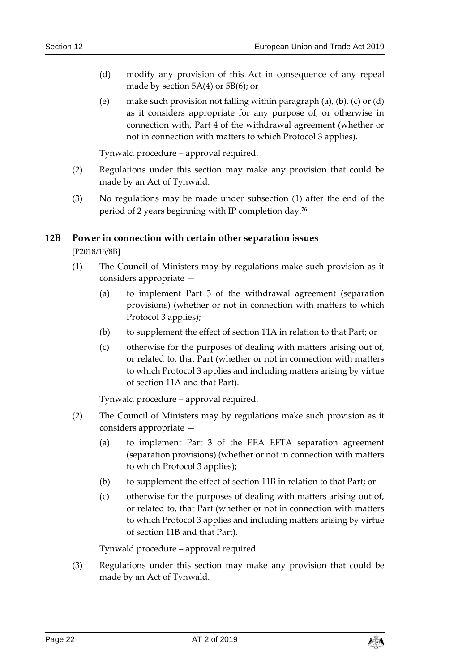- (d) modify any provision of this Act in consequence of any repeal made by section 5A(4) or 5B(6); or
- (e) make such provision not falling within paragraph (a), (b), (c) or (d) as it considers appropriate for any purpose of, or otherwise in connection with, Part 4 of the withdrawal agreement (whether or not in connection with matters to which Protocol 3 applies).

Tynwald procedure – approval required.

- (2) Regulations under this section may make any provision that could be made by an Act of Tynwald.
- (3) No regulations may be made under subsection (1) after the end of the period of 2 years beginning with IP completion day.**<sup>76</sup>**

#### <span id="page-21-0"></span>**12B Power in connection with certain other separation issues**

[P2018/16/8B]

- (1) The Council of Ministers may by regulations make such provision as it considers appropriate —
	- (a) to implement Part 3 of the withdrawal agreement (separation provisions) (whether or not in connection with matters to which Protocol 3 applies);
	- (b) to supplement the effect of section 11A in relation to that Part; or
	- (c) otherwise for the purposes of dealing with matters arising out of, or related to, that Part (whether or not in connection with matters to which Protocol 3 applies and including matters arising by virtue of section 11A and that Part).

Tynwald procedure – approval required.

- (2) The Council of Ministers may by regulations make such provision as it considers appropriate —
	- (a) to implement Part 3 of the EEA EFTA separation agreement (separation provisions) (whether or not in connection with matters to which Protocol 3 applies);
	- (b) to supplement the effect of section 11B in relation to that Part; or
	- (c) otherwise for the purposes of dealing with matters arising out of, or related to, that Part (whether or not in connection with matters to which Protocol 3 applies and including matters arising by virtue of section 11B and that Part).

Tynwald procedure – approval required.

(3) Regulations under this section may make any provision that could be made by an Act of Tynwald.

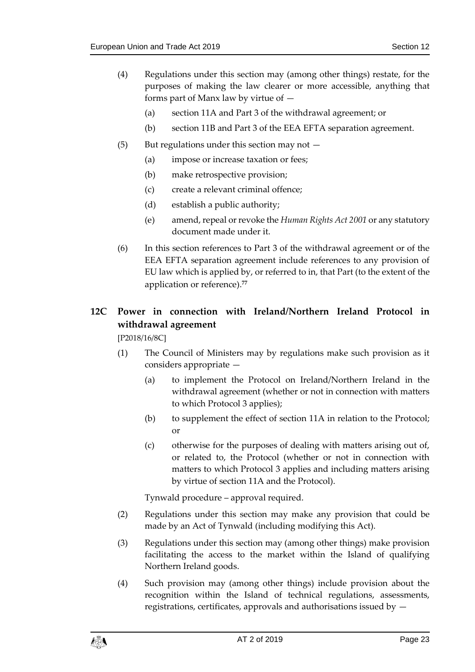- (4) Regulations under this section may (among other things) restate, for the purposes of making the law clearer or more accessible, anything that forms part of Manx law by virtue of —
	- (a) section 11A and Part 3 of the withdrawal agreement; or
	- (b) section 11B and Part 3 of the EEA EFTA separation agreement.
- $(5)$  But regulations under this section may not  $-$ 
	- (a) impose or increase taxation or fees;
	- (b) make retrospective provision;
	- (c) create a relevant criminal offence;
	- (d) establish a public authority;
	- (e) amend, repeal or revoke the *Human Rights Act 2001* or any statutory document made under it.
- (6) In this section references to Part 3 of the withdrawal agreement or of the EEA EFTA separation agreement include references to any provision of EU law which is applied by, or referred to in, that Part (to the extent of the application or reference).**<sup>77</sup>**

# <span id="page-22-0"></span>**12C Power in connection with Ireland/Northern Ireland Protocol in withdrawal agreement**

[P2018/16/8C]

- (1) The Council of Ministers may by regulations make such provision as it considers appropriate —
	- (a) to implement the Protocol on Ireland/Northern Ireland in the withdrawal agreement (whether or not in connection with matters to which Protocol 3 applies);
	- (b) to supplement the effect of section 11A in relation to the Protocol; or
	- (c) otherwise for the purposes of dealing with matters arising out of, or related to, the Protocol (whether or not in connection with matters to which Protocol 3 applies and including matters arising by virtue of section 11A and the Protocol).

Tynwald procedure – approval required.

- (2) Regulations under this section may make any provision that could be made by an Act of Tynwald (including modifying this Act).
- (3) Regulations under this section may (among other things) make provision facilitating the access to the market within the Island of qualifying Northern Ireland goods.
- (4) Such provision may (among other things) include provision about the recognition within the Island of technical regulations, assessments, registrations, certificates, approvals and authorisations issued by —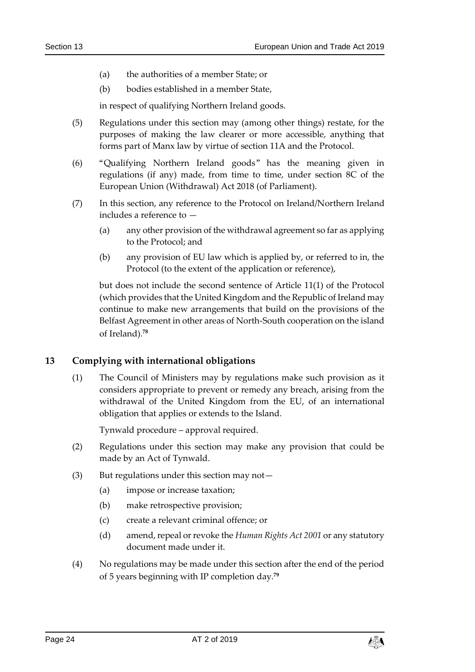- (a) the authorities of a member State; or
- (b) bodies established in a member State,

in respect of qualifying Northern Ireland goods.

- (5) Regulations under this section may (among other things) restate, for the purposes of making the law clearer or more accessible, anything that forms part of Manx law by virtue of section 11A and the Protocol.
- (6) "Qualifying Northern Ireland goods" has the meaning given in regulations (if any) made, from time to time, under section 8C of the European Union (Withdrawal) Act 2018 (of Parliament).
- (7) In this section, any reference to the Protocol on Ireland/Northern Ireland includes a reference to —
	- (a) any other provision of the withdrawal agreement so far as applying to the Protocol; and
	- (b) any provision of EU law which is applied by, or referred to in, the Protocol (to the extent of the application or reference),

but does not include the second sentence of Article 11(1) of the Protocol (which provides that the United Kingdom and the Republic of Ireland may continue to make new arrangements that build on the provisions of the Belfast Agreement in other areas of North-South cooperation on the island of Ireland).**<sup>78</sup>**

#### <span id="page-23-0"></span>**13 Complying with international obligations**

(1) The Council of Ministers may by regulations make such provision as it considers appropriate to prevent or remedy any breach, arising from the withdrawal of the United Kingdom from the EU, of an international obligation that applies or extends to the Island.

Tynwald procedure – approval required.

- (2) Regulations under this section may make any provision that could be made by an Act of Tynwald.
- (3) But regulations under this section may not—
	- (a) impose or increase taxation;
	- (b) make retrospective provision;
	- (c) create a relevant criminal offence; or
	- (d) amend, repeal or revoke the *Human Rights Act 2001* or any statutory document made under it.
- (4) No regulations may be made under this section after the end of the period of 5 years beginning with IP completion day.**<sup>79</sup>**

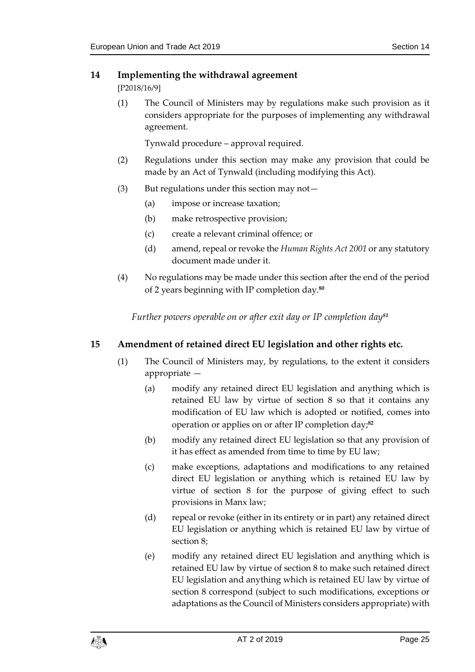## <span id="page-24-0"></span>**14 Implementing the withdrawal agreement**

[P2018/16/9]

(1) The Council of Ministers may by regulations make such provision as it considers appropriate for the purposes of implementing any withdrawal agreement.

Tynwald procedure – approval required.

- (2) Regulations under this section may make any provision that could be made by an Act of Tynwald (including modifying this Act).
- (3) But regulations under this section may not—
	- (a) impose or increase taxation;
	- (b) make retrospective provision;
	- (c) create a relevant criminal offence; or
	- (d) amend, repeal or revoke the *Human Rights Act 2001* or any statutory document made under it.
- <span id="page-24-1"></span>(4) No regulations may be made under this section after the end of the period of 2 years beginning with IP completion day.**<sup>80</sup>**

*Further powers operable on or after exit day or IP completion day<sup>81</sup>*

## <span id="page-24-2"></span>**15 Amendment of retained direct EU legislation and other rights etc.**

- (1) The Council of Ministers may, by regulations, to the extent it considers appropriate —
	- (a) modify any retained direct EU legislation and anything which is retained EU law by virtue of section 8 so that it contains any modification of EU law which is adopted or notified, comes into operation or applies on or after IP completion day;**<sup>82</sup>**
	- (b) modify any retained direct EU legislation so that any provision of it has effect as amended from time to time by EU law;
	- (c) make exceptions, adaptations and modifications to any retained direct EU legislation or anything which is retained EU law by virtue of section 8 for the purpose of giving effect to such provisions in Manx law;
	- (d) repeal or revoke (either in its entirety or in part) any retained direct EU legislation or anything which is retained EU law by virtue of section 8;
	- (e) modify any retained direct EU legislation and anything which is retained EU law by virtue of section 8 to make such retained direct EU legislation and anything which is retained EU law by virtue of section 8 correspond (subject to such modifications, exceptions or adaptations as the Council of Ministers considers appropriate) with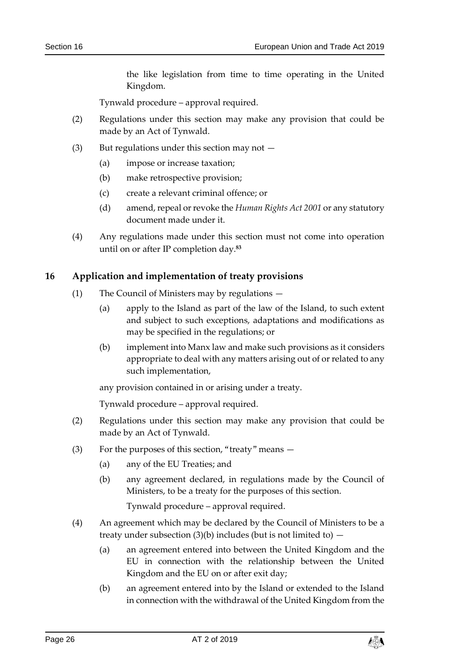the like legislation from time to time operating in the United Kingdom.

Tynwald procedure – approval required.

- (2) Regulations under this section may make any provision that could be made by an Act of Tynwald.
- (3) But regulations under this section may not  $-$ 
	- (a) impose or increase taxation;
	- (b) make retrospective provision;
	- (c) create a relevant criminal offence; or
	- (d) amend, repeal or revoke the *Human Rights Act 2001* or any statutory document made under it.
- (4) Any regulations made under this section must not come into operation until on or after IP completion day.**<sup>83</sup>**

#### <span id="page-25-0"></span>**16 Application and implementation of treaty provisions**

- (1) The Council of Ministers may by regulations
	- (a) apply to the Island as part of the law of the Island, to such extent and subject to such exceptions, adaptations and modifications as may be specified in the regulations; or
	- (b) implement into Manx law and make such provisions as it considers appropriate to deal with any matters arising out of or related to any such implementation,

any provision contained in or arising under a treaty.

Tynwald procedure – approval required.

- (2) Regulations under this section may make any provision that could be made by an Act of Tynwald.
- (3) For the purposes of this section, "treaty" means
	- (a) any of the EU Treaties; and
	- (b) any agreement declared, in regulations made by the Council of Ministers, to be a treaty for the purposes of this section.

Tynwald procedure – approval required.

- (4) An agreement which may be declared by the Council of Ministers to be a treaty under subsection  $(3)(b)$  includes (but is not limited to)  $-$ 
	- (a) an agreement entered into between the United Kingdom and the EU in connection with the relationship between the United Kingdom and the EU on or after exit day;
	- (b) an agreement entered into by the Island or extended to the Island in connection with the withdrawal of the United Kingdom from the

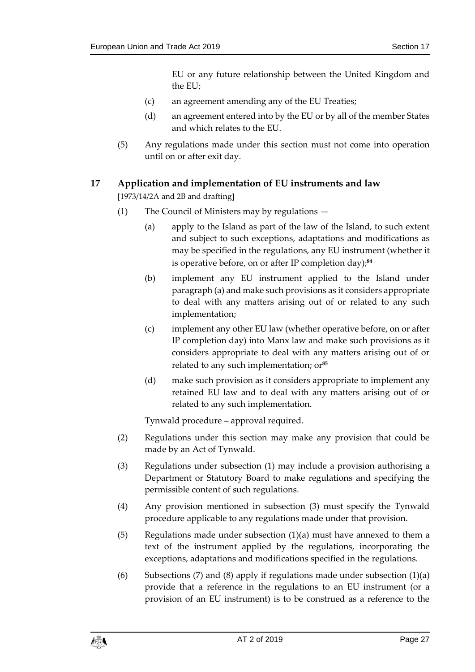EU or any future relationship between the United Kingdom and the EU;

- (c) an agreement amending any of the EU Treaties;
- (d) an agreement entered into by the EU or by all of the member States and which relates to the EU.
- (5) Any regulations made under this section must not come into operation until on or after exit day.

## <span id="page-26-0"></span>**17 Application and implementation of EU instruments and law**

[1973/14/2A and 2B and drafting]

- (1) The Council of Ministers may by regulations
	- (a) apply to the Island as part of the law of the Island, to such extent and subject to such exceptions, adaptations and modifications as may be specified in the regulations, any EU instrument (whether it is operative before, on or after IP completion day); **84**
	- (b) implement any EU instrument applied to the Island under paragraph (a) and make such provisions as it considers appropriate to deal with any matters arising out of or related to any such implementation;
	- (c) implement any other EU law (whether operative before, on or after IP completion day) into Manx law and make such provisions as it considers appropriate to deal with any matters arising out of or related to any such implementation; or**<sup>85</sup>**
	- (d) make such provision as it considers appropriate to implement any retained EU law and to deal with any matters arising out of or related to any such implementation.

Tynwald procedure – approval required.

- (2) Regulations under this section may make any provision that could be made by an Act of Tynwald.
- (3) Regulations under subsection (1) may include a provision authorising a Department or Statutory Board to make regulations and specifying the permissible content of such regulations.
- (4) Any provision mentioned in subsection (3) must specify the Tynwald procedure applicable to any regulations made under that provision.
- (5) Regulations made under subsection (1)(a) must have annexed to them a text of the instrument applied by the regulations, incorporating the exceptions, adaptations and modifications specified in the regulations.
- (6) Subsections (7) and (8) apply if regulations made under subsection  $(1)(a)$ provide that a reference in the regulations to an EU instrument (or a provision of an EU instrument) is to be construed as a reference to the

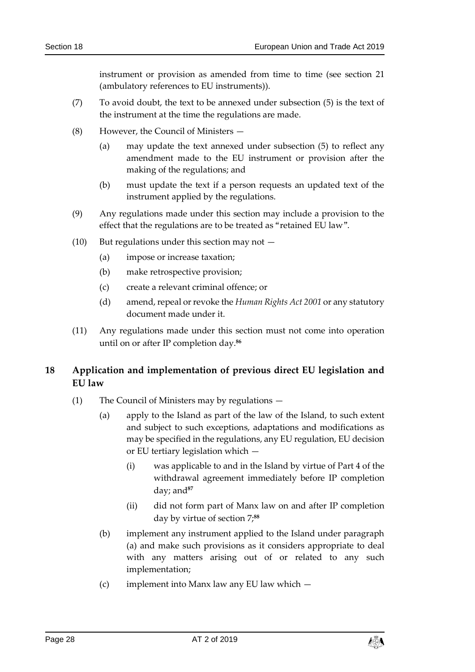instrument or provision as amended from time to time (see section [21](#page-31-0) (ambulatory references to EU instruments)).

- (7) To avoid doubt, the text to be annexed under subsection (5) is the text of the instrument at the time the regulations are made.
- (8) However, the Council of Ministers
	- (a) may update the text annexed under subsection (5) to reflect any amendment made to the EU instrument or provision after the making of the regulations; and
	- (b) must update the text if a person requests an updated text of the instrument applied by the regulations.
- (9) Any regulations made under this section may include a provision to the effect that the regulations are to be treated as "retained EU law".
- (10) But regulations under this section may not  $-$ 
	- (a) impose or increase taxation;
	- (b) make retrospective provision;
	- (c) create a relevant criminal offence; or
	- (d) amend, repeal or revoke the *Human Rights Act 2001* or any statutory document made under it.
- <span id="page-27-1"></span>(11) Any regulations made under this section must not come into operation until on or after IP completion day.**<sup>86</sup>**

## <span id="page-27-0"></span>**18 Application and implementation of previous direct EU legislation and EU law**

- (1) The Council of Ministers may by regulations
	- (a) apply to the Island as part of the law of the Island, to such extent and subject to such exceptions, adaptations and modifications as may be specified in the regulations, any EU regulation, EU decision or EU tertiary legislation which —
		- (i) was applicable to and in the Island by virtue of Part 4 of the withdrawal agreement immediately before IP completion day; and**<sup>87</sup>**
		- (ii) did not form part of Manx law on and after IP completion day by virtue of section [7;](#page-10-0) **88**
	- (b) implement any instrument applied to the Island under paragraph (a) and make such provisions as it considers appropriate to deal with any matters arising out of or related to any such implementation;
	- (c) implement into Manx law any EU law which  $-$

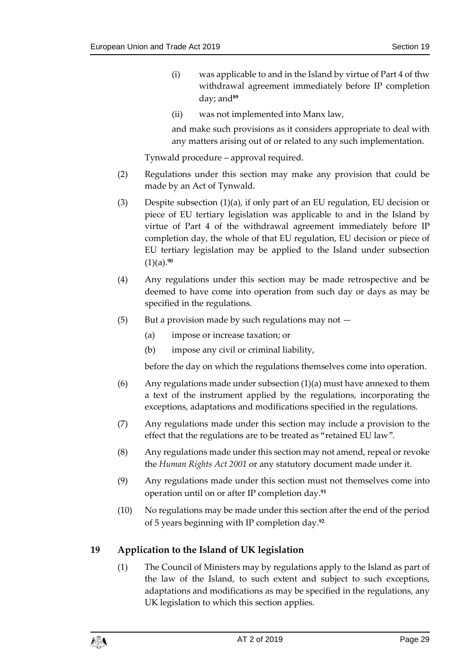- (i) was applicable to and in the Island by virtue of Part 4 of thw withdrawal agreement immediately before IP completion day; and**<sup>89</sup>**
- (ii) was not implemented into Manx law,

and make such provisions as it considers appropriate to deal with any matters arising out of or related to any such implementation.

Tynwald procedure – approval required.

- (2) Regulations under this section may make any provision that could be made by an Act of Tynwald.
- (3) Despite subsection (1)(a), if only part of an EU regulation, EU decision or piece of EU tertiary legislation was applicable to and in the Island by virtue of Part 4 of the withdrawal agreement immediately before IP completion day, the whole of that EU regulation, EU decision or piece of EU tertiary legislation may be applied to the Island under subsection (1)(a).**<sup>90</sup>**
- (4) Any regulations under this section may be made retrospective and be deemed to have come into operation from such day or days as may be specified in the regulations.
- $(5)$  But a provision made by such regulations may not  $-$ 
	- (a) impose or increase taxation; or
	- (b) impose any civil or criminal liability,

before the day on which the regulations themselves come into operation.

- (6) Any regulations made under subsection  $(1)(a)$  must have annexed to them a text of the instrument applied by the regulations, incorporating the exceptions, adaptations and modifications specified in the regulations.
- (7) Any regulations made under this section may include a provision to the effect that the regulations are to be treated as "retained EU law".
- (8) Any regulations made under this section may not amend, repeal or revoke the *Human Rights Act 2001* or any statutory document made under it.
- (9) Any regulations made under this section must not themselves come into operation until on or after IP completion day. **91**
- (10) No regulations may be made under this section after the end of the period of 5 years beginning with IP completion day.**<sup>92</sup>**

## <span id="page-28-0"></span>**19 Application to the Island of UK legislation**

(1) The Council of Ministers may by regulations apply to the Island as part of the law of the Island, to such extent and subject to such exceptions, adaptations and modifications as may be specified in the regulations, any UK legislation to which this section applies.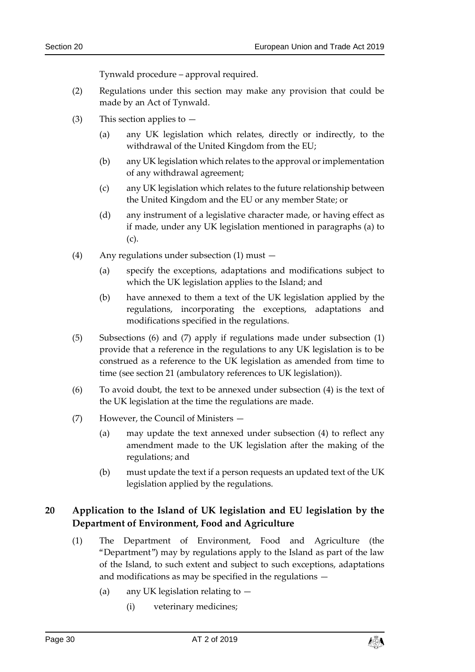Tynwald procedure – approval required.

- (2) Regulations under this section may make any provision that could be made by an Act of Tynwald.
- (3) This section applies to
	- (a) any UK legislation which relates, directly or indirectly, to the withdrawal of the United Kingdom from the EU;
	- (b) any UK legislation which relates to the approval or implementation of any withdrawal agreement;
	- (c) any UK legislation which relates to the future relationship between the United Kingdom and the EU or any member State; or
	- (d) any instrument of a legislative character made, or having effect as if made, under any UK legislation mentioned in paragraphs (a) to (c).
- (4) Any regulations under subsection (1) must
	- (a) specify the exceptions, adaptations and modifications subject to which the UK legislation applies to the Island; and
	- (b) have annexed to them a text of the UK legislation applied by the regulations, incorporating the exceptions, adaptations and modifications specified in the regulations.
- (5) Subsections (6) and (7) apply if regulations made under subsection (1) provide that a reference in the regulations to any UK legislation is to be construed as a reference to the UK legislation as amended from time to time (see section [21](#page-31-0) (ambulatory references to UK legislation)).
- (6) To avoid doubt, the text to be annexed under subsection (4) is the text of the UK legislation at the time the regulations are made.
- (7) However, the Council of Ministers
	- (a) may update the text annexed under subsection (4) to reflect any amendment made to the UK legislation after the making of the regulations; and
	- (b) must update the text if a person requests an updated text of the UK legislation applied by the regulations.

## <span id="page-29-0"></span>**20 Application to the Island of UK legislation and EU legislation by the Department of Environment, Food and Agriculture**

- (1) The Department of Environment, Food and Agriculture (the "Department") may by regulations apply to the Island as part of the law of the Island, to such extent and subject to such exceptions, adaptations and modifications as may be specified in the regulations —
	- (a) any UK legislation relating to
		- (i) veterinary medicines;

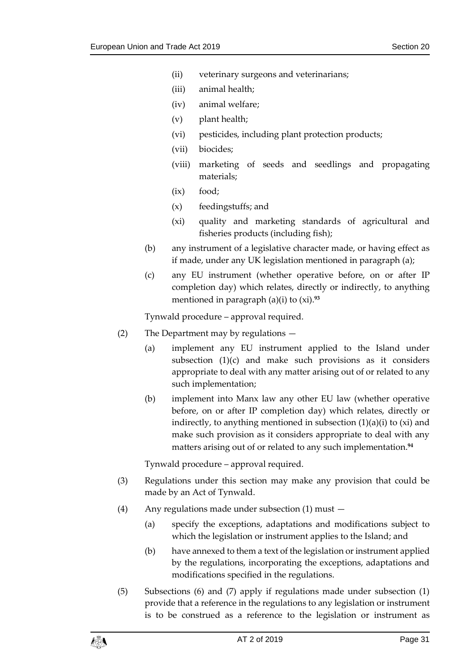- (ii) veterinary surgeons and veterinarians;
- (iii) animal health;
- (iv) animal welfare;
- (v) plant health;
- (vi) pesticides, including plant protection products;
- (vii) biocides;
- (viii) marketing of seeds and seedlings and propagating materials;
- (ix) food;
- (x) feedingstuffs; and
- (xi) quality and marketing standards of agricultural and fisheries products (including fish);
- (b) any instrument of a legislative character made, or having effect as if made, under any UK legislation mentioned in paragraph (a);
- (c) any EU instrument (whether operative before, on or after IP completion day) which relates, directly or indirectly, to anything mentioned in paragraph (a)(i) to (xi).**<sup>93</sup>**

Tynwald procedure – approval required.

- (2) The Department may by regulations
	- (a) implement any EU instrument applied to the Island under subsection (1)(c) and make such provisions as it considers appropriate to deal with any matter arising out of or related to any such implementation;
	- (b) implement into Manx law any other EU law (whether operative before, on or after IP completion day) which relates, directly or indirectly, to anything mentioned in subsection  $(1)(a)(i)$  to  $(xi)$  and make such provision as it considers appropriate to deal with any matters arising out of or related to any such implementation.**<sup>94</sup>**

Tynwald procedure – approval required.

- (3) Regulations under this section may make any provision that could be made by an Act of Tynwald.
- (4) Any regulations made under subsection (1) must
	- (a) specify the exceptions, adaptations and modifications subject to which the legislation or instrument applies to the Island; and
	- (b) have annexed to them a text of the legislation or instrument applied by the regulations, incorporating the exceptions, adaptations and modifications specified in the regulations.
- (5) Subsections (6) and (7) apply if regulations made under subsection (1) provide that a reference in the regulations to any legislation or instrument is to be construed as a reference to the legislation or instrument as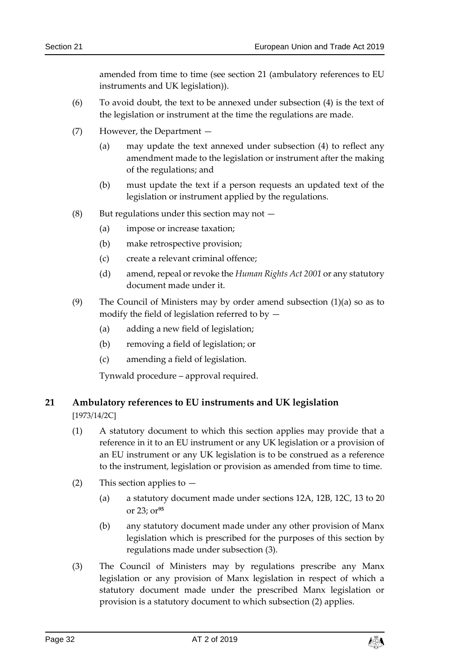amended from time to time (see section [21](#page-31-0) (ambulatory references to EU instruments and UK legislation)).

- (6) To avoid doubt, the text to be annexed under subsection (4) is the text of the legislation or instrument at the time the regulations are made.
- (7) However, the Department
	- (a) may update the text annexed under subsection (4) to reflect any amendment made to the legislation or instrument after the making of the regulations; and
	- (b) must update the text if a person requests an updated text of the legislation or instrument applied by the regulations.
- (8) But regulations under this section may not  $-$ 
	- (a) impose or increase taxation;
	- (b) make retrospective provision;
	- (c) create a relevant criminal offence;
	- (d) amend, repeal or revoke the *Human Rights Act 2001* or any statutory document made under it.
- (9) The Council of Ministers may by order amend subsection (1)(a) so as to modify the field of legislation referred to by  $-$ 
	- (a) adding a new field of legislation;
	- (b) removing a field of legislation; or
	- (c) amending a field of legislation.

Tynwald procedure – approval required.

## <span id="page-31-0"></span>**21 Ambulatory references to EU instruments and UK legislation**

[1973/14/2C]

- (1) A statutory document to which this section applies may provide that a reference in it to an EU instrument or any UK legislation or a provision of an EU instrument or any UK legislation is to be construed as a reference to the instrument, legislation or provision as amended from time to time.
- (2) This section applies to  $-$ 
	- (a) a statutory document made under sections 12A, 12B, 12C, [13](#page-23-0) to [20](#page-29-0) or [23;](#page-32-2) or**<sup>95</sup>**
	- (b) any statutory document made under any other provision of Manx legislation which is prescribed for the purposes of this section by regulations made under subsection (3).
- (3) The Council of Ministers may by regulations prescribe any Manx legislation or any provision of Manx legislation in respect of which a statutory document made under the prescribed Manx legislation or provision is a statutory document to which subsection (2) applies.

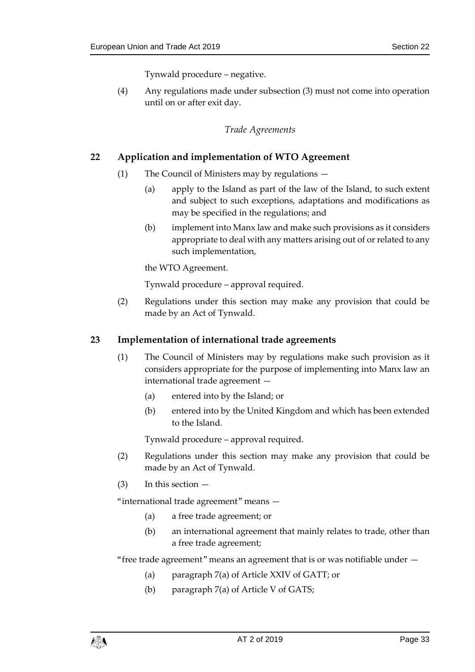Tynwald procedure – negative.

<span id="page-32-0"></span>(4) Any regulations made under subsection (3) must not come into operation until on or after exit day.

#### *Trade Agreements*

## <span id="page-32-1"></span>**22 Application and implementation of WTO Agreement**

- (1) The Council of Ministers may by regulations
	- (a) apply to the Island as part of the law of the Island, to such extent and subject to such exceptions, adaptations and modifications as may be specified in the regulations; and
	- (b) implement into Manx law and make such provisions as it considers appropriate to deal with any matters arising out of or related to any such implementation,

the WTO Agreement.

Tynwald procedure – approval required.

(2) Regulations under this section may make any provision that could be made by an Act of Tynwald.

#### <span id="page-32-2"></span>**23 Implementation of international trade agreements**

- (1) The Council of Ministers may by regulations make such provision as it considers appropriate for the purpose of implementing into Manx law an international trade agreement —
	- (a) entered into by the Island; or
	- (b) entered into by the United Kingdom and which has been extended to the Island.

Tynwald procedure – approval required.

- (2) Regulations under this section may make any provision that could be made by an Act of Tynwald.
- $(3)$  In this section  $-$

"international trade agreement" means —

- (a) a free trade agreement; or
- (b) an international agreement that mainly relates to trade, other than a free trade agreement;

"free trade agreement" means an agreement that is or was notifiable under —

- (a) paragraph 7(a) of Article XXIV of GATT; or
- (b) paragraph 7(a) of Article V of GATS;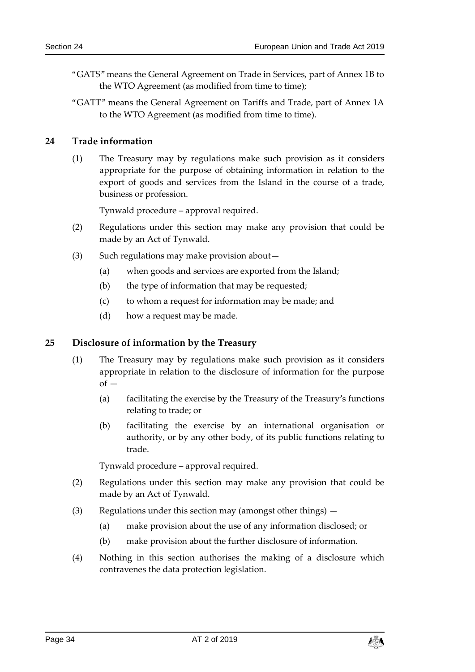- "GATS" means the General Agreement on Trade in Services, part of Annex 1B to the WTO Agreement (as modified from time to time);
- "GATT" means the General Agreement on Tariffs and Trade, part of Annex 1A to the WTO Agreement (as modified from time to time).

#### <span id="page-33-0"></span>**24 Trade information**

(1) The Treasury may by regulations make such provision as it considers appropriate for the purpose of obtaining information in relation to the export of goods and services from the Island in the course of a trade, business or profession.

Tynwald procedure – approval required.

- (2) Regulations under this section may make any provision that could be made by an Act of Tynwald.
- (3) Such regulations may make provision about—
	- (a) when goods and services are exported from the Island;
	- (b) the type of information that may be requested;
	- (c) to whom a request for information may be made; and
	- (d) how a request may be made.

#### <span id="page-33-1"></span>**25 Disclosure of information by the Treasury**

- (1) The Treasury may by regulations make such provision as it considers appropriate in relation to the disclosure of information for the purpose  $of -$ 
	- (a) facilitating the exercise by the Treasury of the Treasury's functions relating to trade; or
	- (b) facilitating the exercise by an international organisation or authority, or by any other body, of its public functions relating to trade.

Tynwald procedure – approval required.

- (2) Regulations under this section may make any provision that could be made by an Act of Tynwald.
- (3) Regulations under this section may (amongst other things)
	- (a) make provision about the use of any information disclosed; or
	- (b) make provision about the further disclosure of information.
- (4) Nothing in this section authorises the making of a disclosure which contravenes the data protection legislation.

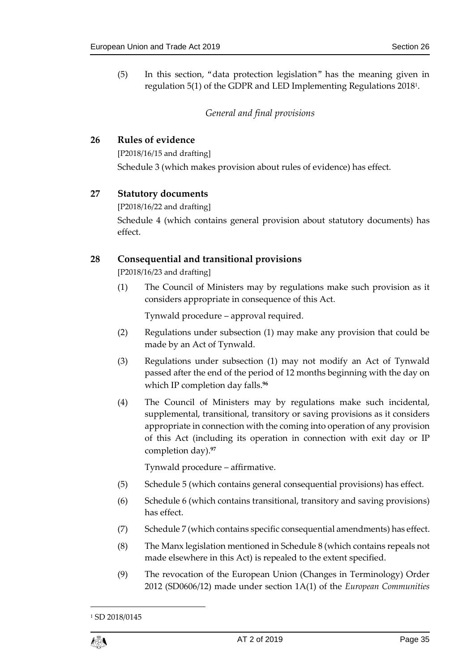<span id="page-34-0"></span>(5) In this section, "data protection legislation" has the meaning given in regulation 5(1) of the GDPR and LED Implementing Regulations 2018<sup>1</sup> .

## *General and final provisions*

#### <span id="page-34-1"></span>**26 Rules of evidence**

[P2018/16/15 and drafting] Schedule 3 (which makes provision about rules of evidence) has effect.

## <span id="page-34-2"></span>**27 Statutory documents**

[P2018/16/22 and drafting] Schedule 4 (which contains general provision about statutory documents) has effect.

## <span id="page-34-3"></span>**28 Consequential and transitional provisions**

[P2018/16/23 and drafting]

(1) The Council of Ministers may by regulations make such provision as it considers appropriate in consequence of this Act.

Tynwald procedure – approval required.

- (2) Regulations under subsection (1) may make any provision that could be made by an Act of Tynwald.
- (3) Regulations under subsection (1) may not modify an Act of Tynwald passed after the end of the period of 12 months beginning with the day on which IP completion day falls. **96**
- (4) The Council of Ministers may by regulations make such incidental, supplemental, transitional, transitory or saving provisions as it considers appropriate in connection with the coming into operation of any provision of this Act (including its operation in connection with exit day or IP completion day).**<sup>97</sup>**

Tynwald procedure – affirmative.

- (5) Schedule 5 (which contains general consequential provisions) has effect.
- (6) Schedule 6 (which contains transitional, transitory and saving provisions) has effect.
- (7) Schedule 7 (which contains specific consequential amendments) has effect.
- (8) The Manx legislation mentioned in Schedule 8 (which contains repeals not made elsewhere in this Act) is repealed to the extent specified.
- (9) The revocation of the European Union (Changes in Terminology) Order 2012 (SD0606/12) made under section 1A(1) of the *European Communities*

<sup>&</sup>lt;sup>1</sup> SD 2018/0145



1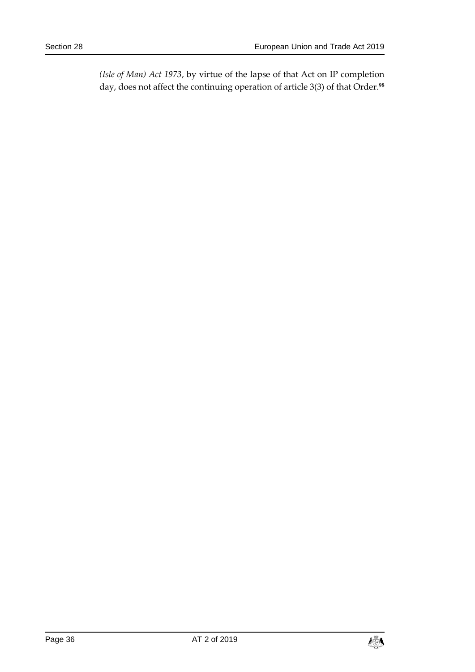*(Isle of Man) Act 1973*, by virtue of the lapse of that Act on IP completion day, does not affect the continuing operation of article 3(3) of that Order.**98**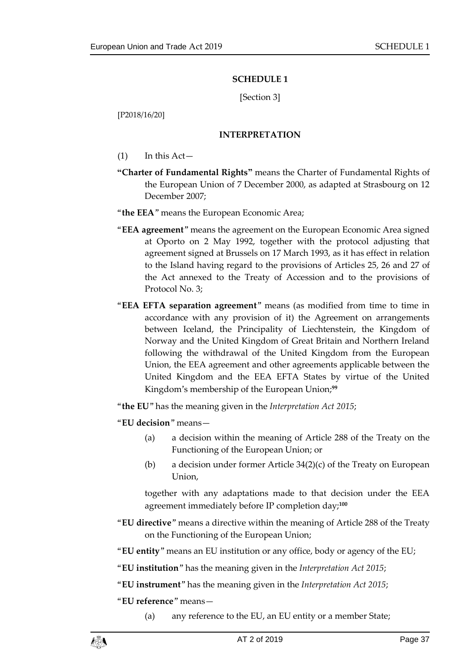#### **SCHEDULE 1**

[Section [3\]](#page-7-0)

<span id="page-36-1"></span><span id="page-36-0"></span>[P2018/16/20]

#### **INTERPRETATION**

- $(1)$  In this Act—
- **"Charter of Fundamental Rights"** means the Charter of Fundamental Rights of the European Union of 7 December 2000, as adapted at Strasbourg on 12 December 2007;
- "**the EEA**" means the European Economic Area;
- "**EEA agreement**" means the agreement on the European Economic Area signed at Oporto on 2 May 1992, together with the protocol adjusting that agreement signed at Brussels on 17 March 1993, as it has effect in relation to the Island having regard to the provisions of Articles 25, 26 and 27 of the Act annexed to the Treaty of Accession and to the provisions of Protocol No. 3;
- "**EEA EFTA separation agreement**" means (as modified from time to time in accordance with any provision of it) the Agreement on arrangements between Iceland, the Principality of Liechtenstein, the Kingdom of Norway and the United Kingdom of Great Britain and Northern Ireland following the withdrawal of the United Kingdom from the European Union, the EEA agreement and other agreements applicable between the United Kingdom and the EEA EFTA States by virtue of the United Kingdom's membership of the European Union;**<sup>99</sup>**

"**the EU**" has the meaning given in the *Interpretation Act 2015*;

"**EU decision**" means—

- (a) a decision within the meaning of Article 288 of the Treaty on the Functioning of the European Union; or
- (b) a decision under former Article 34(2)(c) of the Treaty on European Union,

together with any adaptations made to that decision under the EEA agreement immediately before IP completion day; **100**

- "**EU directive**" means a directive within the meaning of Article 288 of the Treaty on the Functioning of the European Union;
- "**EU entity**" means an EU institution or any office, body or agency of the EU;
- "**EU institution**" has the meaning given in the *Interpretation Act 2015*;

"**EU instrument**" has the meaning given in the *Interpretation Act 2015*;

"**EU reference**" means—

(a) any reference to the EU, an EU entity or a member State;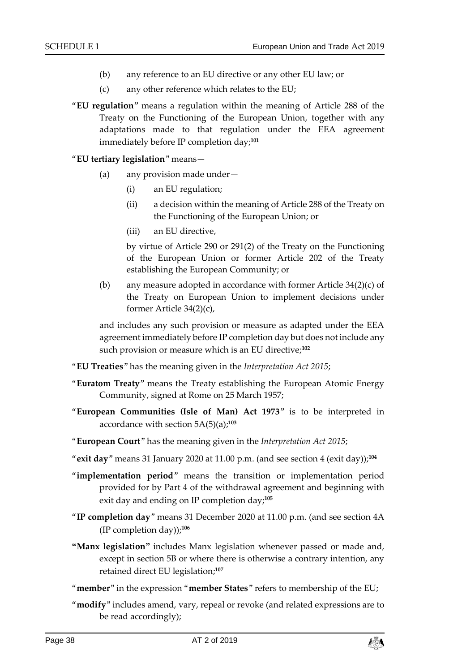- (b) any reference to an EU directive or any other EU law; or
- (c) any other reference which relates to the EU;
- "**EU regulation**" means a regulation within the meaning of Article 288 of the Treaty on the Functioning of the European Union, together with any adaptations made to that regulation under the EEA agreement immediately before IP completion day; **101**

#### "**EU tertiary legislation**" means—

- (a) any provision made under—
	- (i) an EU regulation;
	- (ii) a decision within the meaning of Article 288 of the Treaty on the Functioning of the European Union; or
	- (iii) an EU directive,

by virtue of Article 290 or 291(2) of the Treaty on the Functioning of the European Union or former Article 202 of the Treaty establishing the European Community; or

(b) any measure adopted in accordance with former Article 34(2)(c) of the Treaty on European Union to implement decisions under former Article 34(2)(c),

and includes any such provision or measure as adapted under the EEA agreement immediately before IP completion day but does not include any such provision or measure which is an EU directive;**<sup>102</sup>**

- "**EU Treaties**" has the meaning given in the *Interpretation Act 2015*;
- "**Euratom Treaty**" means the Treaty establishing the European Atomic Energy Community, signed at Rome on 25 March 1957;
- "**European Communities (Isle of Man) Act 1973**" is to be interpreted in accordance with section 5A(5)(a);**<sup>103</sup>**
- "**European Court**" has the meaning given in the *Interpretation Act 2015*;
- "**exit day**" means 31 January 2020 at 11.00 p.m. (and see section [4](#page-7-2) (exit day)); **104**
- "**implementation period**" means the transition or implementation period provided for by Part 4 of the withdrawal agreement and beginning with exit day and ending on IP completion day;**<sup>105</sup>**
- "**IP completion day**" means 31 December 2020 at 11.00 p.m. (and see section 4A (IP completion day));**<sup>106</sup>**
- **"Manx legislation"** includes Manx legislation whenever passed or made and, except in section 5B or where there is otherwise a contrary intention, any retained direct EU legislation; **107**
- "**member**" in the expression "**member States**" refers to membership of the EU;
- "**modify**" includes amend, vary, repeal or revoke (and related expressions are to be read accordingly);

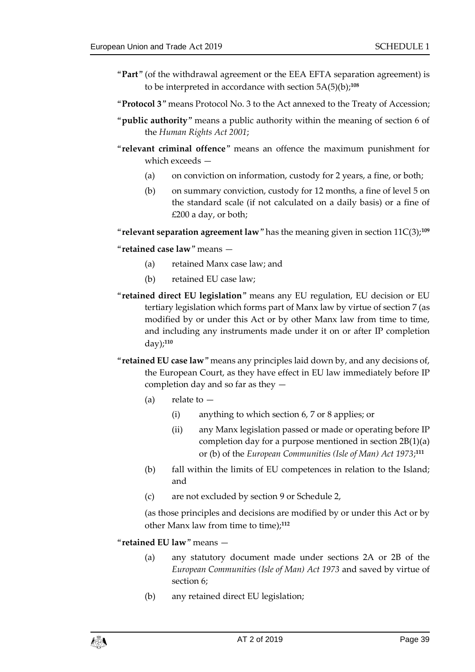- "**Part**" (of the withdrawal agreement or the EEA EFTA separation agreement) is to be interpreted in accordance with section 5A(5)(b);**<sup>108</sup>**
- "**Protocol 3**" means Protocol No. 3 to the Act annexed to the Treaty of Accession;
- "**public authority**" means a public authority within the meaning of section 6 of the *Human Rights Act 2001*;
- "**relevant criminal offence**" means an offence the maximum punishment for which exceeds —
	- (a) on conviction on information, custody for 2 years, a fine, or both;
	- (b) on summary conviction, custody for 12 months, a fine of level 5 on the standard scale (if not calculated on a daily basis) or a fine of £200 a day, or both;

"**relevant separation agreement law**" has the meaning given in section 11C(3);**<sup>109</sup>**

#### "**retained case law**" means —

- (a) retained Manx case law; and
- (b) retained EU case law;
- "**retained direct EU legislation**" means any EU regulation, EU decision or EU tertiary legislation which forms part of Manx law by virtue of section [7](#page-10-0) (as modified by or under this Act or by other Manx law from time to time, and including any instruments made under it on or after IP completion day);**<sup>110</sup>**
- "**retained EU case law**" means any principles laid down by, and any decisions of, the European Court, as they have effect in EU law immediately before IP completion day and so far as they —
	- $(a)$  relate to  $-$ 
		- (i) anything to which section [6,](#page-9-2) [7](#page-10-0) or [8](#page-11-0) applies; or
		- (ii) any Manx legislation passed or made or operating before IP completion day for a purpose mentioned in section 2B(1)(a) or (b) of the *European Communities (Isle of Man) Act 1973*; **111**
	- (b) fall within the limits of EU competences in relation to the Island; and
	- (c) are not excluded by section [9](#page-12-0) or Schedule 2,

(as those principles and decisions are modified by or under this Act or by other Manx law from time to time);**<sup>112</sup>**

- "**retained EU law**" means
	- (a) any statutory document made under sections 2A or 2B of the *European Communities (Isle of Man) Act 1973* and saved by virtue of section [6;](#page-9-2)
	- (b) any retained direct EU legislation;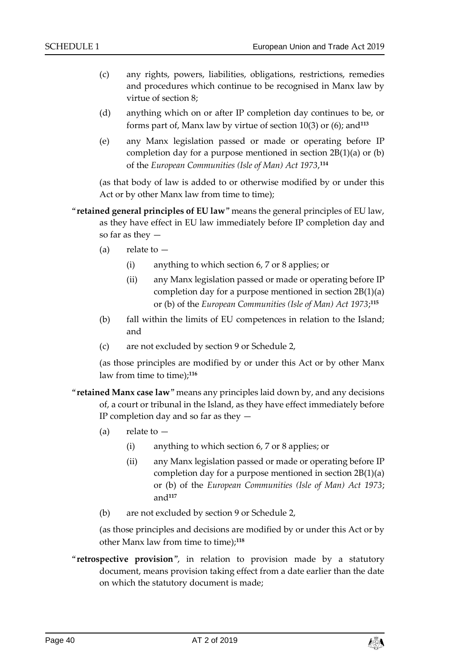- (c) any rights, powers, liabilities, obligations, restrictions, remedies and procedures which continue to be recognised in Manx law by virtue of section [8;](#page-11-0)
- (d) anything which on or after IP completion day continues to be, or forms part of, Manx law by virtue of section [10\(3\)](#page-13-2) or (6); and**<sup>113</sup>**
- (e) any Manx legislation passed or made or operating before IP completion day for a purpose mentioned in section 2B(1)(a) or (b) of the *European Communities (Isle of Man) Act 1973*, **114**

(as that body of law is added to or otherwise modified by or under this Act or by other Manx law from time to time);

- "**retained general principles of EU law**" means the general principles of EU law, as they have effect in EU law immediately before IP completion day and so far as they —
	- $(a)$  relate to  $-$ 
		- (i) anything to which section [6,](#page-9-2) [7](#page-10-0) or [8](#page-11-0) applies; or
		- (ii) any Manx legislation passed or made or operating before IP completion day for a purpose mentioned in section 2B(1)(a) or (b) of the *European Communities (Isle of Man) Act 1973*; **115**
	- (b) fall within the limits of EU competences in relation to the Island; and
	- (c) are not excluded by section [9](#page-12-0) or Schedule 2,

(as those principles are modified by or under this Act or by other Manx law from time to time);**<sup>116</sup>**

- "**retained Manx case law**" means any principles laid down by, and any decisions of, a court or tribunal in the Island, as they have effect immediately before IP completion day and so far as they —
	- (a) relate to
		- (i) anything to which section [6,](#page-9-2) [7](#page-10-0) or [8](#page-11-0) applies; or
		- (ii) any Manx legislation passed or made or operating before IP completion day for a purpose mentioned in section 2B(1)(a) or (b) of the *European Communities (Isle of Man) Act 1973*; and**<sup>117</sup>**
	- (b) are not excluded by section [9](#page-12-0) or Schedule 2,

(as those principles and decisions are modified by or under this Act or by other Manx law from time to time);**<sup>118</sup>**

"**retrospective provision**", in relation to provision made by a statutory document, means provision taking effect from a date earlier than the date on which the statutory document is made;

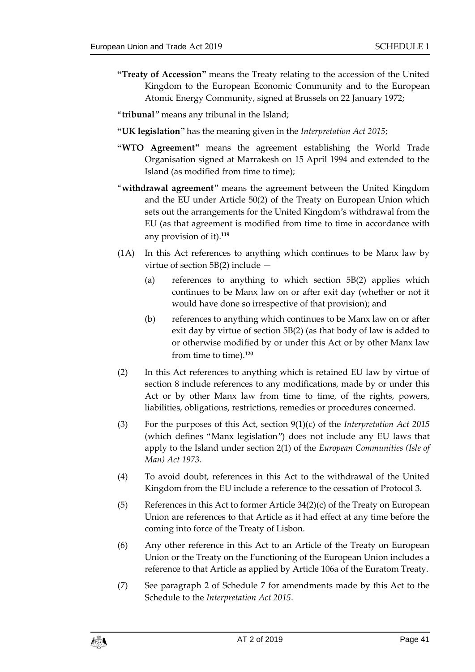- **"Treaty of Accession"** means the Treaty relating to the accession of the United Kingdom to the European Economic Community and to the European Atomic Energy Community, signed at Brussels on 22 January 1972;
- "**tribunal**" means any tribunal in the Island;
- **"UK legislation"** has the meaning given in the *Interpretation Act 2015*;
- **"WTO Agreement"** means the agreement establishing the World Trade Organisation signed at Marrakesh on 15 April 1994 and extended to the Island (as modified from time to time);
- "**withdrawal agreement**" means the agreement between the United Kingdom and the EU under Article 50(2) of the Treaty on European Union which sets out the arrangements for the United Kingdom's withdrawal from the EU (as that agreement is modified from time to time in accordance with any provision of it). **119**
- (1A) In this Act references to anything which continues to be Manx law by virtue of section 5B(2) include —
	- (a) references to anything to which section 5B(2) applies which continues to be Manx law on or after exit day (whether or not it would have done so irrespective of that provision); and
	- (b) references to anything which continues to be Manx law on or after exit day by virtue of section 5B(2) (as that body of law is added to or otherwise modified by or under this Act or by other Manx law from time to time).**<sup>120</sup>**
- (2) In this Act references to anything which is retained EU law by virtue of section [8](#page-11-0) include references to any modifications, made by or under this Act or by other Manx law from time to time, of the rights, powers, liabilities, obligations, restrictions, remedies or procedures concerned.
- (3) For the purposes of this Act, section 9(1)(c) of the *Interpretation Act 2015* (which defines "Manx legislation") does not include any EU laws that apply to the Island under section 2(1) of the *European Communities (Isle of Man) Act 1973*.
- (4) To avoid doubt, references in this Act to the withdrawal of the United Kingdom from the EU include a reference to the cessation of Protocol 3.
- (5) References in this Act to former Article 34(2)(c) of the Treaty on European Union are references to that Article as it had effect at any time before the coming into force of the Treaty of Lisbon.
- (6) Any other reference in this Act to an Article of the Treaty on European Union or the Treaty on the Functioning of the European Union includes a reference to that Article as applied by Article 106a of the Euratom Treaty.
- (7) See paragraph 2 of Schedule 7 for amendments made by this Act to the Schedule to the *Interpretation Act 2015*.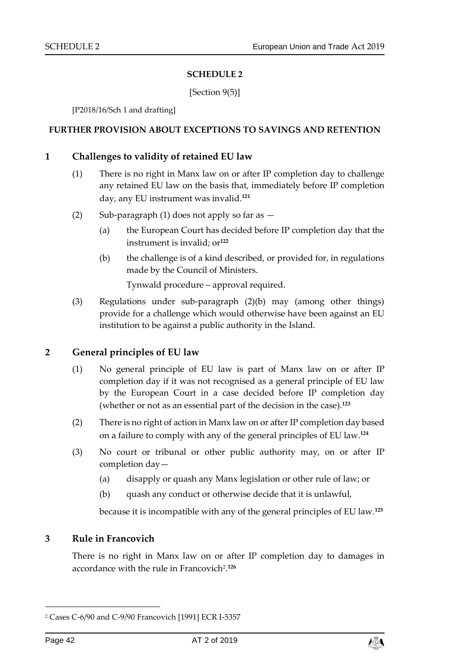#### **SCHEDULE 2**

[Section [9\(5\)\]](#page-13-3)

<span id="page-41-0"></span>[P2018/16/Sch 1 and drafting]

#### <span id="page-41-1"></span>**FURTHER PROVISION ABOUT EXCEPTIONS TO SAVINGS AND RETENTION**

#### **1 Challenges to validity of retained EU law**

- (1) There is no right in Manx law on or after IP completion day to challenge any retained EU law on the basis that, immediately before IP completion day, any EU instrument was invalid.**<sup>121</sup>**
- (2) Sub-paragraph (1) does not apply so far as
	- (a) the European Court has decided before IP completion day that the instrument is invalid; or**<sup>122</sup>**
	- (b) the challenge is of a kind described, or provided for, in regulations made by the Council of Ministers.

Tynwald procedure – approval required.

(3) Regulations under sub-paragraph (2)(b) may (among other things) provide for a challenge which would otherwise have been against an EU institution to be against a public authority in the Island.

#### **2 General principles of EU law**

- (1) No general principle of EU law is part of Manx law on or after IP completion day if it was not recognised as a general principle of EU law by the European Court in a case decided before IP completion day (whether or not as an essential part of the decision in the case).**<sup>123</sup>**
- (2) There is no right of action in Manx law on or after IP completion day based on a failure to comply with any of the general principles of EU law.**<sup>124</sup>**
- (3) No court or tribunal or other public authority may, on or after IP completion day—
	- (a) disapply or quash any Manx legislation or other rule of law; or
	- (b) quash any conduct or otherwise decide that it is unlawful,

because it is incompatible with any of the general principles of EU law.**<sup>125</sup>**

#### **3 Rule in Francovich**

There is no right in Manx law on or after IP completion day to damages in accordance with the rule in Francovich<sup>2</sup> . **126**

-



<sup>2</sup> Cases C-6/90 and C-9/90 Francovich [1991] ECR I-5357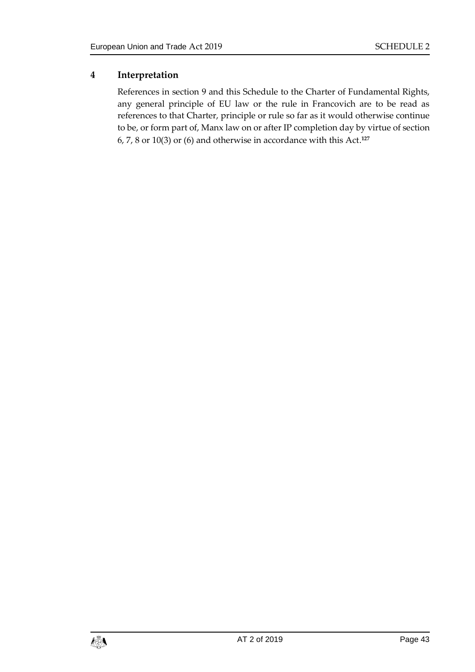## **4 Interpretation**

References in section [9](#page-12-0) and this Schedule to the Charter of Fundamental Rights, any general principle of EU law or the rule in Francovich are to be read as references to that Charter, principle or rule so far as it would otherwise continue to be, or form part of, Manx law on or after IP completion day by virtue of section 6, 7, 8 or 10(3) or (6) and otherwise in accordance with this Act. **127**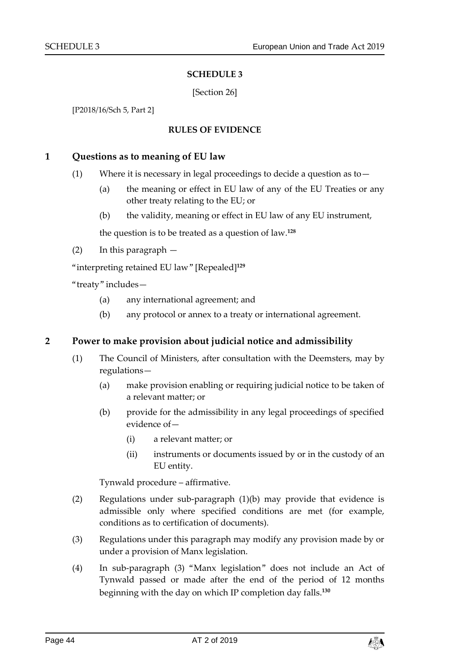#### **SCHEDULE 3**

#### [Section [26\]](#page-34-1)

<span id="page-43-1"></span><span id="page-43-0"></span>[P2018/16/Sch 5, Part 2]

#### **RULES OF EVIDENCE**

#### **1 Questions as to meaning of EU law**

- (1) Where it is necessary in legal proceedings to decide a question as to  $-$ 
	- (a) the meaning or effect in EU law of any of the EU Treaties or any other treaty relating to the EU; or
	- (b) the validity, meaning or effect in EU law of any EU instrument,

the question is to be treated as a question of law.**<sup>128</sup>**

(2) In this paragraph —

"interpreting retained EU law" [Repealed]**<sup>129</sup>**

"treaty" includes—

- (a) any international agreement; and
- (b) any protocol or annex to a treaty or international agreement.

#### **2 Power to make provision about judicial notice and admissibility**

- (1) The Council of Ministers, after consultation with the Deemsters, may by regulations—
	- (a) make provision enabling or requiring judicial notice to be taken of a relevant matter; or
	- (b) provide for the admissibility in any legal proceedings of specified evidence of—
		- (i) a relevant matter; or
		- (ii) instruments or documents issued by or in the custody of an EU entity.

Tynwald procedure – affirmative.

- (2) Regulations under sub-paragraph (1)(b) may provide that evidence is admissible only where specified conditions are met (for example, conditions as to certification of documents).
- (3) Regulations under this paragraph may modify any provision made by or under a provision of Manx legislation.
- (4) In sub-paragraph (3) "Manx legislation" does not include an Act of Tynwald passed or made after the end of the period of 12 months beginning with the day on which IP completion day falls. **130**

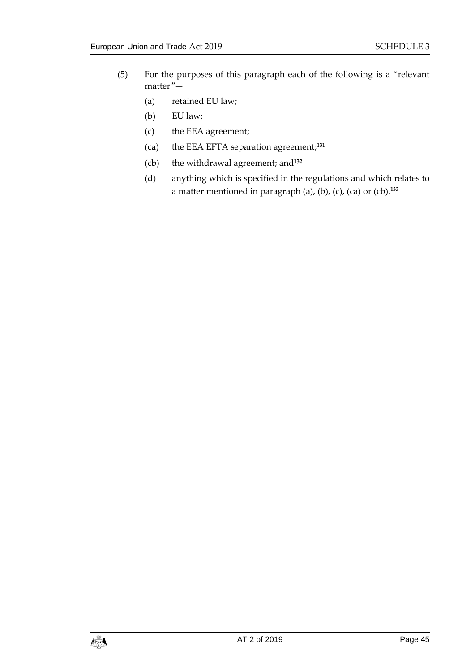- (5) For the purposes of this paragraph each of the following is a "relevant matter"—
	- (a) retained EU law;
	- (b) EU law;
	- (c) the EEA agreement;
	- (ca) the EEA EFTA separation agreement;**<sup>131</sup>**
	- (cb) the withdrawal agreement; and**<sup>132</sup>**
	- (d) anything which is specified in the regulations and which relates to a matter mentioned in paragraph (a), (b), (c), (ca) or (cb). **133**

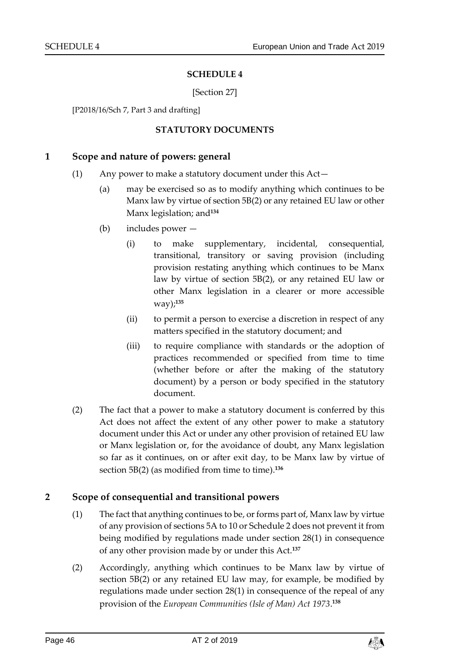#### **SCHEDULE 4**

#### [Section [27\]](#page-34-2)

<span id="page-45-1"></span><span id="page-45-0"></span>[P2018/16/Sch 7, Part 3 and drafting]

#### **STATUTORY DOCUMENTS**

#### **1 Scope and nature of powers: general**

- (1) Any power to make a statutory document under this Act—
	- (a) may be exercised so as to modify anything which continues to be Manx law by virtue of section 5B(2) or any retained EU law or other Manx legislation; and**<sup>134</sup>**
	- (b) includes power
		- (i) to make supplementary, incidental, consequential, transitional, transitory or saving provision (including provision restating anything which continues to be Manx law by virtue of section 5B(2), or any retained EU law or other Manx legislation in a clearer or more accessible way); **135**
		- (ii) to permit a person to exercise a discretion in respect of any matters specified in the statutory document; and
		- (iii) to require compliance with standards or the adoption of practices recommended or specified from time to time (whether before or after the making of the statutory document) by a person or body specified in the statutory document.
- (2) The fact that a power to make a statutory document is conferred by this Act does not affect the extent of any other power to make a statutory document under this Act or under any other provision of retained EU law or Manx legislation or, for the avoidance of doubt, any Manx legislation so far as it continues, on or after exit day, to be Manx law by virtue of section 5B(2) (as modified from time to time). **136**

#### **2 Scope of consequential and transitional powers**

- (1) The fact that anything continues to be, or forms part of, Manx law by virtue of any provision of sections 5A t[o 10](#page-13-1) or Schedule 2 does not prevent it from being modified by regulations made under section [28\(](#page-34-3)1) in consequence of any other provision made by or under this Act.**<sup>137</sup>**
- (2) Accordingly, anything which continues to be Manx law by virtue of section 5B(2) or any retained EU law may, for example, be modified by regulations made under section [28\(1\)](#page-34-3) in consequence of the repeal of any provision of the *European Communities (Isle of Man) Act 1973*. **138**

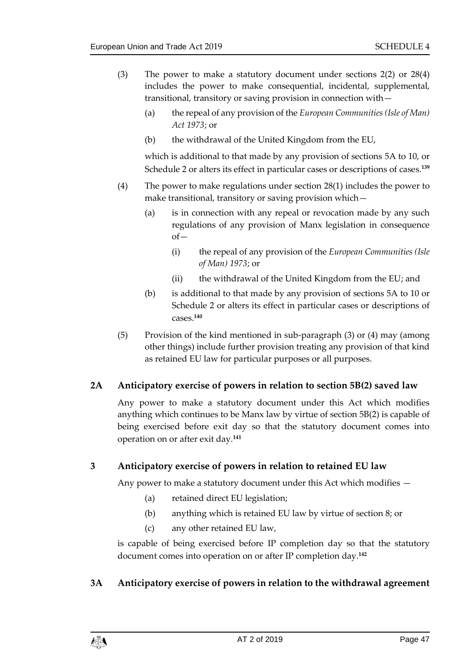- (3) The power to make a statutory document under sections [2\(](#page-6-2)2) or [28\(](#page-34-3)4) includes the power to make consequential, incidental, supplemental, transitional, transitory or saving provision in connection with—
	- (a) the repeal of any provision of the *European Communities (Isle of Man) Act 1973*; or
	- (b) the withdrawal of the United Kingdom from the EU,

which is additional to that made by any provision of sections 5A to [10,](#page-13-1) or Schedule 2 or alters its effect in particular cases or descriptions of cases. **139**

- (4) The power to make regulations under section [28\(1\)](#page-34-3) includes the power to make transitional, transitory or saving provision which—
	- (a) is in connection with any repeal or revocation made by any such regulations of any provision of Manx legislation in consequence of—
		- (i) the repeal of any provision of the *European Communities (Isle of Man) 1973*; or
		- (ii) the withdrawal of the United Kingdom from the EU; and
	- (b) is additional to that made by any provision of sections 5A to [10](#page-13-1) or Schedule 2 or alters its effect in particular cases or descriptions of cases. **140**
- (5) Provision of the kind mentioned in sub-paragraph (3) or (4) may (among other things) include further provision treating any provision of that kind as retained EU law for particular purposes or all purposes.

## **2A Anticipatory exercise of powers in relation to section 5B(2) saved law**

Any power to make a statutory document under this Act which modifies anything which continues to be Manx law by virtue of section 5B(2) is capable of being exercised before exit day so that the statutory document comes into operation on or after exit day.**<sup>141</sup>**

#### **3 Anticipatory exercise of powers in relation to retained EU law**

Any power to make a statutory document under this Act which modifies —

- (a) retained direct EU legislation;
- (b) anything which is retained EU law by virtue of section [8;](#page-11-0) or
- (c) any other retained EU law,

is capable of being exercised before IP completion day so that the statutory document comes into operation on or after IP completion day.**<sup>142</sup>**

#### **3A Anticipatory exercise of powers in relation to the withdrawal agreement**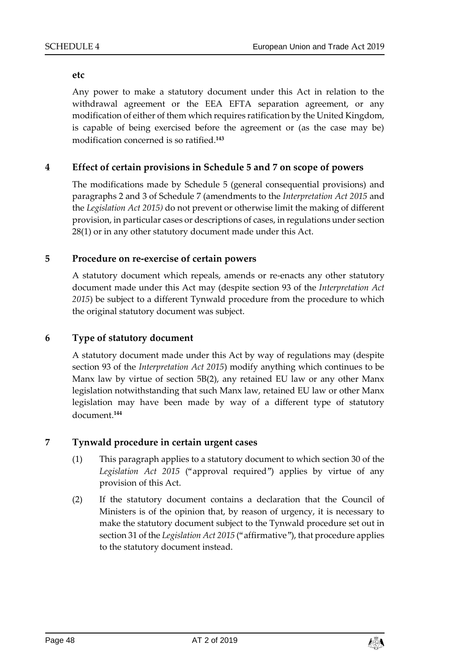#### **etc**

Any power to make a statutory document under this Act in relation to the withdrawal agreement or the EEA EFTA separation agreement, or any modification of either of them which requires ratification by the United Kingdom, is capable of being exercised before the agreement or (as the case may be) modification concerned is so ratified.**<sup>143</sup>**

## **4 Effect of certain provisions in Schedule 5 and 7 on scope of powers**

The modifications made by Schedule 5 (general consequential provisions) and paragraphs 2 and 3 of Schedule 7 (amendments to the *Interpretation Act 2015* and the *Legislation Act 2015)* do not prevent or otherwise limit the making of different provision, in particular cases or descriptions of cases, in regulations under section [28\(1\)](#page-34-3) or in any other statutory document made under this Act.

#### **5 Procedure on re-exercise of certain powers**

A statutory document which repeals, amends or re-enacts any other statutory document made under this Act may (despite section 93 of the *Interpretation Act 2015*) be subject to a different Tynwald procedure from the procedure to which the original statutory document was subject.

#### **6 Type of statutory document**

A statutory document made under this Act by way of regulations may (despite section 93 of the *Interpretation Act 2015*) modify anything which continues to be Manx law by virtue of section 5B(2), any retained EU law or any other Manx legislation notwithstanding that such Manx law, retained EU law or other Manx legislation may have been made by way of a different type of statutory document.**<sup>144</sup>**

#### **7 Tynwald procedure in certain urgent cases**

- (1) This paragraph applies to a statutory document to which section 30 of the *Legislation Act 2015* ("approval required") applies by virtue of any provision of this Act.
- (2) If the statutory document contains a declaration that the Council of Ministers is of the opinion that, by reason of urgency, it is necessary to make the statutory document subject to the Tynwald procedure set out in section 31 of the *Legislation Act 2015* ("affirmative"), that procedure applies to the statutory document instead.

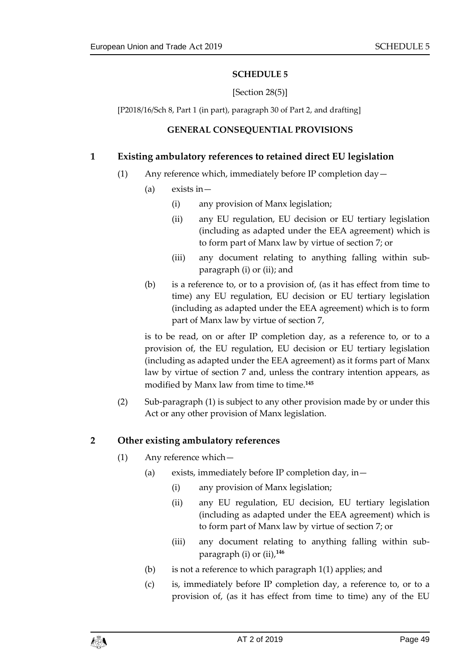#### **SCHEDULE 5**

#### [Section [28\(](#page-34-3)5)]

<span id="page-48-1"></span><span id="page-48-0"></span>[P2018/16/Sch 8, Part 1 (in part), paragraph 30 of Part 2, and drafting]

#### **GENERAL CONSEQUENTIAL PROVISIONS**

#### **1 Existing ambulatory references to retained direct EU legislation**

- (1) Any reference which, immediately before IP completion day—
	- (a) exists in—
		- (i) any provision of Manx legislation;
		- (ii) any EU regulation, EU decision or EU tertiary legislation (including as adapted under the EEA agreement) which is to form part of Manx law by virtue of section [7;](#page-10-0) or
		- (iii) any document relating to anything falling within subparagraph (i) or (ii); and
	- (b) is a reference to, or to a provision of, (as it has effect from time to time) any EU regulation, EU decision or EU tertiary legislation (including as adapted under the EEA agreement) which is to form part of Manx law by virtue of section [7,](#page-10-0)

is to be read, on or after IP completion day, as a reference to, or to a provision of, the EU regulation, EU decision or EU tertiary legislation (including as adapted under the EEA agreement) as it forms part of Manx law by virtue of section [7](#page-10-0) and, unless the contrary intention appears, as modified by Manx law from time to time.**<sup>145</sup>**

(2) Sub-paragraph (1) is subject to any other provision made by or under this Act or any other provision of Manx legislation.

#### **2 Other existing ambulatory references**

- (1) Any reference which—
	- (a) exists, immediately before IP completion day, in—
		- (i) any provision of Manx legislation;
		- (ii) any EU regulation, EU decision, EU tertiary legislation (including as adapted under the EEA agreement) which is to form part of Manx law by virtue of section [7;](#page-10-0) or
		- (iii) any document relating to anything falling within subparagraph (i) or (ii),**<sup>146</sup>**
	- (b) is not a reference to which paragraph 1(1) applies; and
	- (c) is, immediately before IP completion day, a reference to, or to a provision of, (as it has effect from time to time) any of the EU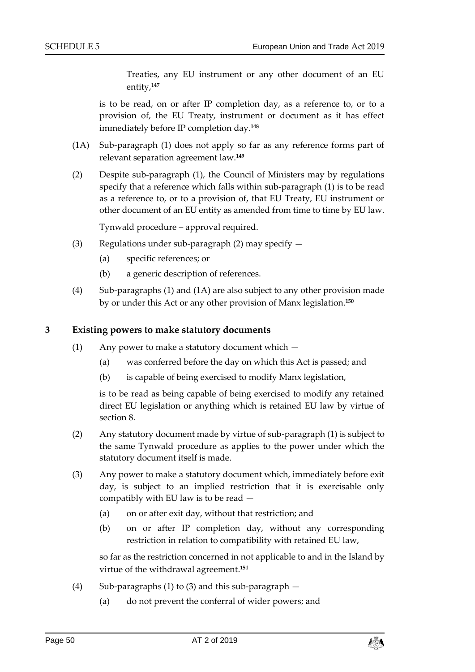Treaties, any EU instrument or any other document of an EU entity,**<sup>147</sup>**

is to be read, on or after IP completion day, as a reference to, or to a provision of, the EU Treaty, instrument or document as it has effect immediately before IP completion day.**<sup>148</sup>**

- (1A) Sub-paragraph (1) does not apply so far as any reference forms part of relevant separation agreement law.**<sup>149</sup>**
- (2) Despite sub-paragraph (1), the Council of Ministers may by regulations specify that a reference which falls within sub-paragraph (1) is to be read as a reference to, or to a provision of, that EU Treaty, EU instrument or other document of an EU entity as amended from time to time by EU law.

Tynwald procedure – approval required.

- (3) Regulations under sub-paragraph (2) may specify  $-$ 
	- (a) specific references; or
	- (b) a generic description of references.
- (4) Sub-paragraphs (1) and (1A) are also subject to any other provision made by or under this Act or any other provision of Manx legislation. **150**

#### **3 Existing powers to make statutory documents**

- (1) Any power to make a statutory document which
	- (a) was conferred before the day on which this Act is passed; and
	- (b) is capable of being exercised to modify Manx legislation,

is to be read as being capable of being exercised to modify any retained direct EU legislation or anything which is retained EU law by virtue of section [8.](#page-11-0)

- (2) Any statutory document made by virtue of sub-paragraph (1) is subject to the same Tynwald procedure as applies to the power under which the statutory document itself is made.
- (3) Any power to make a statutory document which, immediately before exit day, is subject to an implied restriction that it is exercisable only compatibly with EU law is to be read —
	- (a) on or after exit day, without that restriction; and
	- (b) on or after IP completion day, without any corresponding restriction in relation to compatibility with retained EU law,

so far as the restriction concerned in not applicable to and in the Island by virtue of the withdrawal agreement. **151**

- (4) Sub-paragraphs (1) to (3) and this sub-paragraph
	- (a) do not prevent the conferral of wider powers; and

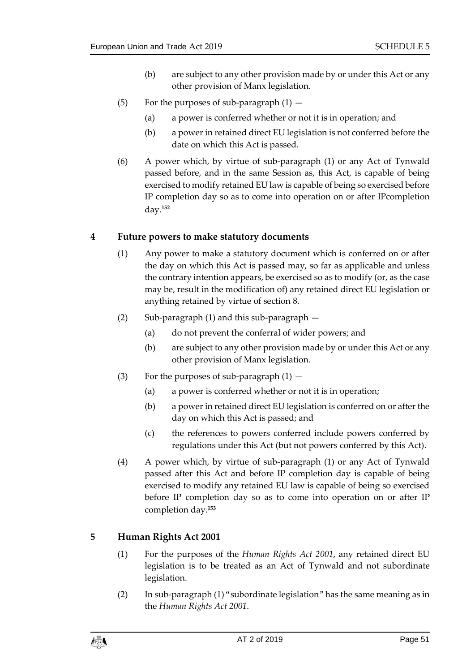- (b) are subject to any other provision made by or under this Act or any other provision of Manx legislation.
- (5) For the purposes of sub-paragraph  $(1)$ 
	- (a) a power is conferred whether or not it is in operation; and
	- (b) a power in retained direct EU legislation is not conferred before the date on which this Act is passed.
- (6) A power which, by virtue of sub-paragraph (1) or any Act of Tynwald passed before, and in the same Session as, this Act, is capable of being exercised to modify retained EU law is capable of being so exercised before IP completion day so as to come into operation on or after IPcompletion day.**<sup>152</sup>**

#### **4 Future powers to make statutory documents**

- (1) Any power to make a statutory document which is conferred on or after the day on which this Act is passed may, so far as applicable and unless the contrary intention appears, be exercised so as to modify (or, as the case may be, result in the modification of) any retained direct EU legislation or anything retained by virtue of section [8.](#page-11-0)
- (2) Sub-paragraph (1) and this sub-paragraph
	- (a) do not prevent the conferral of wider powers; and
	- (b) are subject to any other provision made by or under this Act or any other provision of Manx legislation.
- (3) For the purposes of sub-paragraph  $(1)$ 
	- (a) a power is conferred whether or not it is in operation;
	- (b) a power in retained direct EU legislation is conferred on or after the day on which this Act is passed; and
	- (c) the references to powers conferred include powers conferred by regulations under this Act (but not powers conferred by this Act).
- (4) A power which, by virtue of sub-paragraph (1) or any Act of Tynwald passed after this Act and before IP completion day is capable of being exercised to modify any retained EU law is capable of being so exercised before IP completion day so as to come into operation on or after IP completion day.**<sup>153</sup>**

#### **5 Human Rights Act 2001**

- (1) For the purposes of the *Human Rights Act 2001*, any retained direct EU legislation is to be treated as an Act of Tynwald and not subordinate legislation.
- (2) In sub-paragraph (1) "subordinate legislation" has the same meaning as in the *Human Rights Act 2001*.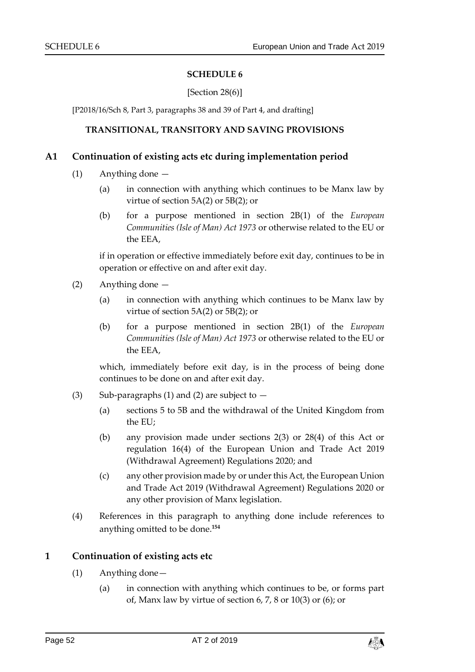#### **SCHEDULE 6**

#### [Section [28\(6\)\]](#page-34-3)

<span id="page-51-1"></span><span id="page-51-0"></span>[P2018/16/Sch 8, Part 3, paragraphs 38 and 39 of Part 4, and drafting]

#### **TRANSITIONAL, TRANSITORY AND SAVING PROVISIONS**

#### **A1 Continuation of existing acts etc during implementation period**

- (1) Anything done
	- (a) in connection with anything which continues to be Manx law by virtue of section 5A(2) or 5B(2); or
	- (b) for a purpose mentioned in section 2B(1) of the *European Communities (Isle of Man) Act 1973* or otherwise related to the EU or the EEA,

if in operation or effective immediately before exit day, continues to be in operation or effective on and after exit day.

- (2) Anything done
	- (a) in connection with anything which continues to be Manx law by virtue of section 5A(2) or 5B(2); or
	- (b) for a purpose mentioned in section 2B(1) of the *European Communities (Isle of Man) Act 1973* or otherwise related to the EU or the EEA,

which, immediately before exit day, is in the process of being done continues to be done on and after exit day.

- (3) Sub-paragraphs (1) and (2) are subject to  $-$ 
	- (a) sections 5 to 5B and the withdrawal of the United Kingdom from the EU;
	- (b) any provision made under sections 2(3) or 28(4) of this Act or regulation 16(4) of the European Union and Trade Act 2019 (Withdrawal Agreement) Regulations 2020; and
	- (c) any other provision made by or under this Act, the European Union and Trade Act 2019 (Withdrawal Agreement) Regulations 2020 or any other provision of Manx legislation.
- (4) References in this paragraph to anything done include references to anything omitted to be done.**<sup>154</sup>**

#### **1 Continuation of existing acts etc**

- (1) Anything done—
	- (a) in connection with anything which continues to be, or forms part of, Manx law by virtue of section [6,](#page-9-2) [7,](#page-10-0) [8](#page-11-0) or [10\(](#page-13-1)3) or (6); or

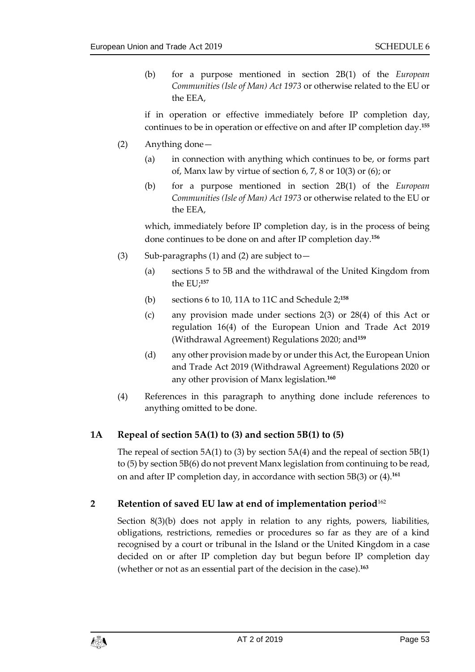(b) for a purpose mentioned in section 2B(1) of the *European Communities (Isle of Man) Act 1973* or otherwise related to the EU or the EEA,

if in operation or effective immediately before IP completion day, continues to be in operation or effective on and after IP completion day.**<sup>155</sup>**

- (2) Anything done—
	- (a) in connection with anything which continues to be, or forms part of, Manx law by virtue of section [6,](#page-9-2) [7,](#page-10-0) [8](#page-11-0) or [10\(](#page-13-1)3) or (6); or
	- (b) for a purpose mentioned in section 2B(1) of the *European Communities (Isle of Man) Act 1973* or otherwise related to the EU or the EEA,

which, immediately before IP completion day, is in the process of being done continues to be done on and after IP completion day.**<sup>156</sup>**

- (3) Sub-paragraphs (1) and (2) are subject to—
	- (a) sections [5](#page-8-3) to 5B and the withdrawal of the United Kingdom from the EU;**<sup>157</sup>**
	- (b) sections [6](#page-9-2) to [10,](#page-13-1) 11A to 11C and Schedule 2; **158**
	- (c) any provision made under sections [2\(](#page-6-2)3) or [28\(](#page-34-3)4) of this Act or regulation 16(4) of the European Union and Trade Act 2019 (Withdrawal Agreement) Regulations 2020; and**<sup>159</sup>**
	- (d) any other provision made by or under this Act, the European Union and Trade Act 2019 (Withdrawal Agreement) Regulations 2020 or any other provision of Manx legislation. **160**
- (4) References in this paragraph to anything done include references to anything omitted to be done.

## **1A Repeal of section 5A(1) to (3) and section 5B(1) to (5)**

The repeal of section  $5A(1)$  to (3) by section  $5A(4)$  and the repeal of section  $5B(1)$ to (5) by section 5B(6) do not prevent Manx legislation from continuing to be read, on and after IP completion day, in accordance with section 5B(3) or (4).**<sup>161</sup>**

## **2 Retention of saved EU law at end of implementation period**<sup>162</sup>

Section [8\(3\)\(](#page-12-1)b) does not apply in relation to any rights, powers, liabilities, obligations, restrictions, remedies or procedures so far as they are of a kind recognised by a court or tribunal in the Island or the United Kingdom in a case decided on or after IP completion day but begun before IP completion day (whether or not as an essential part of the decision in the case).**163**

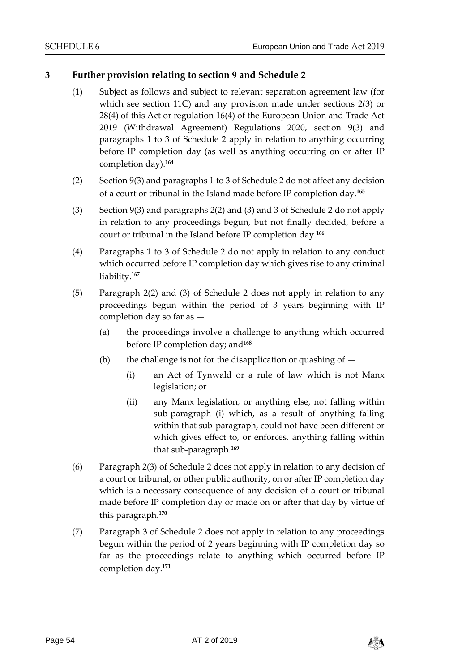## **3 Further provision relating to section [9](#page-12-0) and Schedule 2**

- (1) Subject as follows and subject to relevant separation agreement law (for which see section 11C) and any provision made under sections [2\(3\)](#page-7-3) or [28\(](#page-34-3)4) of this Act or regulation 16(4) of the European Union and Trade Act 2019 (Withdrawal Agreement) Regulations 2020, section 9(3) and paragraphs 1 to 3 of Schedule 2 apply in relation to anything occurring before IP completion day (as well as anything occurring on or after IP completion day).**<sup>164</sup>**
- (2) Section 9(3) and paragraphs 1 to 3 of Schedule 2 do not affect any decision of a court or tribunal in the Island made before IP completion day.**<sup>165</sup>**
- (3) Section 9(3) and paragraphs 2(2) and (3) and 3 of Schedule 2 do not apply in relation to any proceedings begun, but not finally decided, before a court or tribunal in the Island before IP completion day.**<sup>166</sup>**
- (4) Paragraphs 1 to 3 of Schedule 2 do not apply in relation to any conduct which occurred before IP completion day which gives rise to any criminal liability.**<sup>167</sup>**
- (5) Paragraph 2(2) and (3) of Schedule 2 does not apply in relation to any proceedings begun within the period of 3 years beginning with IP completion day so far as —
	- (a) the proceedings involve a challenge to anything which occurred before IP completion day; and**<sup>168</sup>**
	- (b) the challenge is not for the disapplication or quashing of  $-$ 
		- (i) an Act of Tynwald or a rule of law which is not Manx legislation; or
		- (ii) any Manx legislation, or anything else, not falling within sub-paragraph (i) which, as a result of anything falling within that sub-paragraph, could not have been different or which gives effect to, or enforces, anything falling within that sub-paragraph.**<sup>169</sup>**
- (6) Paragraph 2(3) of Schedule 2 does not apply in relation to any decision of a court or tribunal, or other public authority, on or after IP completion day which is a necessary consequence of any decision of a court or tribunal made before IP completion day or made on or after that day by virtue of this paragraph. **170**
- (7) Paragraph 3 of Schedule 2 does not apply in relation to any proceedings begun within the period of 2 years beginning with IP completion day so far as the proceedings relate to anything which occurred before IP completion day.**<sup>171</sup>**

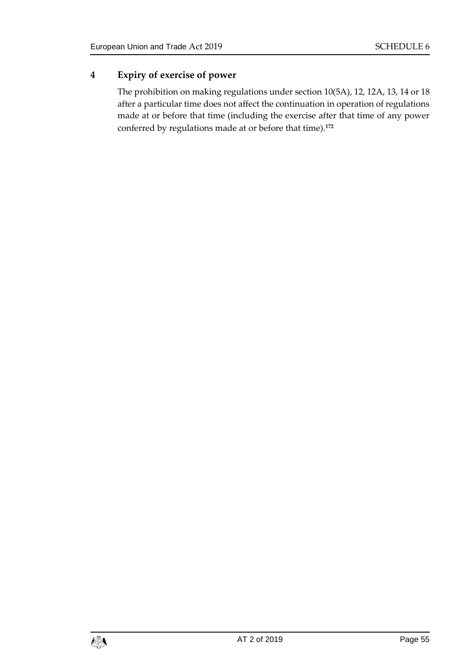## **4 Expiry of exercise of power**

The prohibition on making regulations under section 10(5A), 12, 12A, 13, 14 or 18 after a particular time does not affect the continuation in operation of regulations made at or before that time (including the exercise after that time of any power conferred by regulations made at or before that time).**172**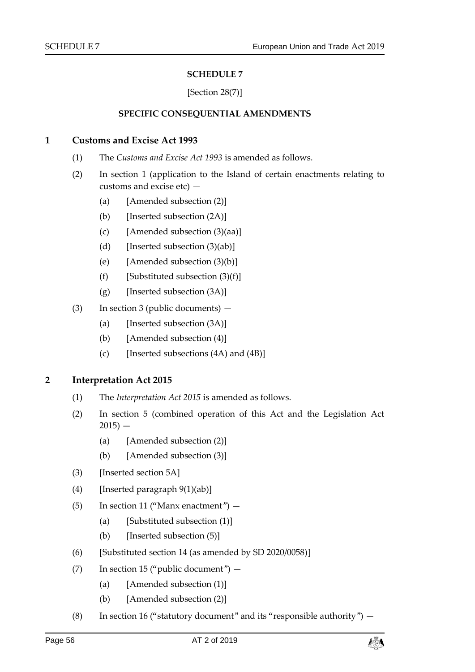#### **SCHEDULE 7**

#### [Section [28\(7\)\]](#page-34-3)

#### **SPECIFIC CONSEQUENTIAL AMENDMENTS**

#### <span id="page-55-1"></span><span id="page-55-0"></span>**1 Customs and Excise Act 1993**

- (1) The *Customs and Excise Act 1993* is amended as follows.
- (2) In section 1 (application to the Island of certain enactments relating to customs and excise etc) —
	- (a) [Amended subsection (2)]
	- (b) [Inserted subsection (2A)]
	- (c) [Amended subsection (3)(aa)]
	- (d) [Inserted subsection  $(3)(ab)$ ]
	- (e) [Amended subsection (3)(b)]
	- (f) [Substituted subsection  $(3)(f)$ ]
	- (g) [Inserted subsection (3A)]
- (3) In section 3 (public documents)
	- (a) [Inserted subsection (3A)]
	- (b) [Amended subsection (4)]
	- (c) [Inserted subsections  $(4A)$  and  $(4B)$ ]

#### **2 Interpretation Act 2015**

- (1) The *Interpretation Act 2015* is amended as follows.
- (2) In section 5 (combined operation of this Act and the Legislation Act  $2015$ ) —
	- (a) [Amended subsection (2)]
	- (b) [Amended subsection (3)]
- (3) [Inserted section 5A]
- (4) [Inserted paragraph  $9(1)(ab)$ ]
- (5) In section 11 ("Manx enactment")
	- (a) [Substituted subsection (1)]
	- (b) [Inserted subsection (5)]
- (6) [Substituted section 14 (as amended by SD 2020/0058)]
- (7) In section 15 ("public document")
	- (a) [Amended subsection (1)]
	- (b) [Amended subsection (2)]
- (8) In section 16 ("statutory document" and its "responsible authority")  $-$

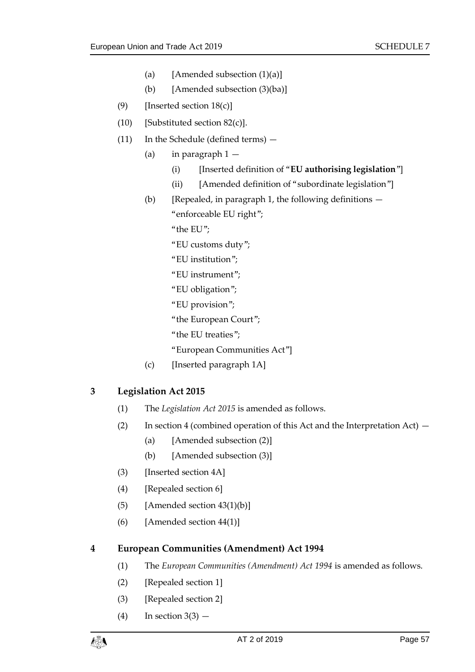- (a) [Amended subsection  $(1)(a)$ ]
- (b) [Amended subsection (3)(ba)]
- (9) [Inserted section  $18(c)$ ]
- (10) [Substituted section 82(c)].
- (11) In the Schedule (defined terms)
	- (a) in paragraph  $1 -$ 
		- (i) [Inserted definition of "**EU authorising legislation**"]
		- (ii) [Amended definition of "subordinate legislation"]
	- (b) [Repealed, in paragraph 1, the following definitions  $-$ "enforceable EU right";
		- "the EU";
		- "EU customs duty";
		- "EU institution";
		- "EU instrument";
		- "EU obligation";
		- "EU provision";
		- "the European Court";
		- "the EU treaties";
		- "European Communities Act"]
	- (c) [Inserted paragraph 1A]

## **3 Legislation Act 2015**

- (1) The *Legislation Act 2015* is amended as follows.
- (2) In section 4 (combined operation of this Act and the Interpretation Act)  $-$ 
	- (a) [Amended subsection (2)]
	- (b) [Amended subsection (3)]
- (3) [Inserted section 4A]
- (4) [Repealed section 6]
- (5) [Amended section  $43(1)(b)$ ]
- (6) [Amended section 44(1)]

#### **4 European Communities (Amendment) Act 1994**

- (1) The *European Communities (Amendment) Act 1994* is amended as follows.
- (2) [Repealed section 1]
- (3) [Repealed section 2]
- $(4)$  In section  $3(3)$  —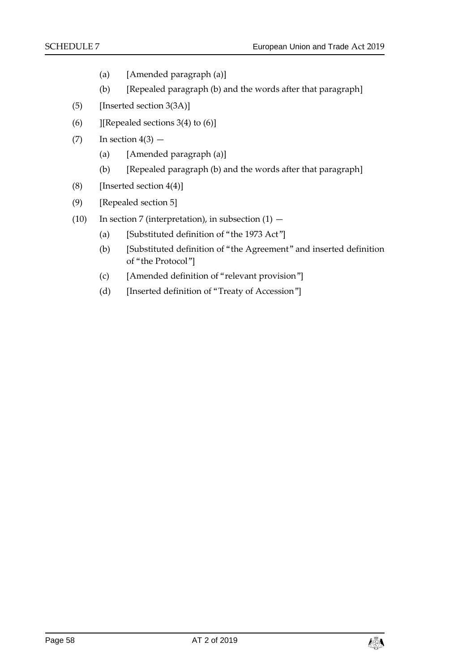- (a) [Amended paragraph (a)]
- (b) [Repealed paragraph (b) and the words after that paragraph]
- (5) [Inserted section 3(3A)]
- (6) ][Repealed sections 3(4) to  $(6)$ ]
- $(7)$  In section  $4(3)$ 
	- (a) [Amended paragraph (a)]
	- (b) [Repealed paragraph (b) and the words after that paragraph]
- (8) [Inserted section  $4(4)$ ]
- (9) [Repealed section 5]
- (10) In section 7 (interpretation), in subsection  $(1)$ 
	- (a) [Substituted definition of "the 1973 Act"]
	- (b) [Substituted definition of "the Agreement" and inserted definition of "the Protocol"]
	- (c) [Amended definition of "relevant provision"]
	- (d) [Inserted definition of "Treaty of Accession"]

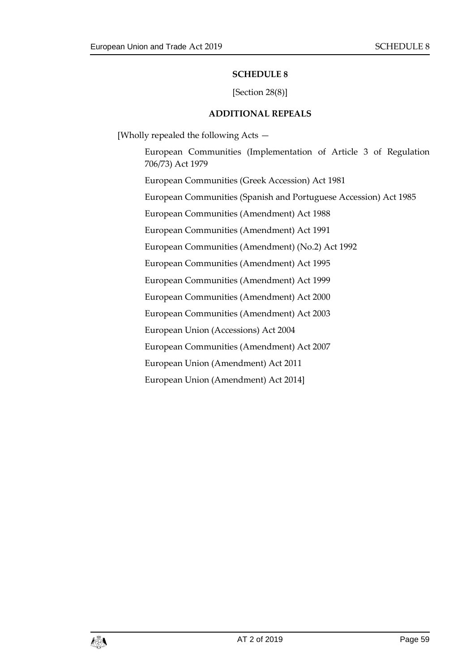#### **SCHEDULE 8**

#### [Section [28\(8\)\]](#page-34-3)

#### **ADDITIONAL REPEALS**

<span id="page-58-1"></span><span id="page-58-0"></span>[Wholly repealed the following Acts —

European Communities (Implementation of Article 3 of Regulation 706/73) Act 1979 European Communities (Greek Accession) Act 1981 European Communities (Spanish and Portuguese Accession) Act 1985 European Communities (Amendment) Act 1988 European Communities (Amendment) Act 1991 European Communities (Amendment) (No.2) Act 1992 European Communities (Amendment) Act 1995 European Communities (Amendment) Act 1999 European Communities (Amendment) Act 2000 European Communities (Amendment) Act 2003 European Union (Accessions) Act 2004 European Communities (Amendment) Act 2007 European Union (Amendment) Act 2011 European Union (Amendment) Act 2014]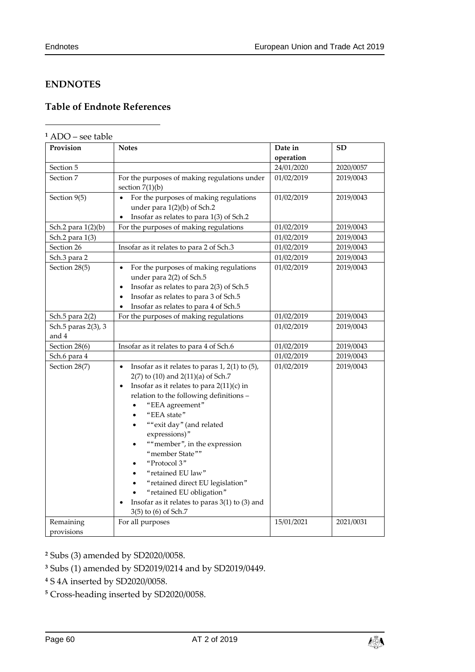-

## <span id="page-59-0"></span>**ENDNOTES**

## <span id="page-59-1"></span>**Table of Endnote References**

#### **<sup>1</sup>** ADO – see table

| Provision                    | <b>Notes</b>                                                                                                                                                                                                                                                                                                                                                                                                                                                                                                                     | Date in    | SD        |
|------------------------------|----------------------------------------------------------------------------------------------------------------------------------------------------------------------------------------------------------------------------------------------------------------------------------------------------------------------------------------------------------------------------------------------------------------------------------------------------------------------------------------------------------------------------------|------------|-----------|
|                              |                                                                                                                                                                                                                                                                                                                                                                                                                                                                                                                                  | operation  |           |
| Section 5                    |                                                                                                                                                                                                                                                                                                                                                                                                                                                                                                                                  | 24/01/2020 | 2020/0057 |
| Section 7                    | For the purposes of making regulations under<br>section $7(1)(b)$                                                                                                                                                                                                                                                                                                                                                                                                                                                                | 01/02/2019 | 2019/0043 |
| Section 9(5)                 | For the purposes of making regulations<br>under para $1(2)(b)$ of Sch.2<br>Insofar as relates to para 1(3) of Sch.2                                                                                                                                                                                                                                                                                                                                                                                                              | 01/02/2019 | 2019/0043 |
| Sch.2 para 1(2)(b)           | For the purposes of making regulations                                                                                                                                                                                                                                                                                                                                                                                                                                                                                           | 01/02/2019 | 2019/0043 |
| Sch.2 para 1(3)              |                                                                                                                                                                                                                                                                                                                                                                                                                                                                                                                                  | 01/02/2019 | 2019/0043 |
| Section 26                   | Insofar as it relates to para 2 of Sch.3                                                                                                                                                                                                                                                                                                                                                                                                                                                                                         | 01/02/2019 | 2019/0043 |
| Sch.3 para 2                 |                                                                                                                                                                                                                                                                                                                                                                                                                                                                                                                                  | 01/02/2019 | 2019/0043 |
| Section 28(5)                | For the purposes of making regulations<br>under para 2(2) of Sch.5<br>Insofar as relates to para 2(3) of Sch.5<br>$\bullet$<br>Insofar as relates to para 3 of Sch.5<br>Insofar as relates to para 4 of Sch.5                                                                                                                                                                                                                                                                                                                    | 01/02/2019 | 2019/0043 |
| Sch.5 para 2(2)              | For the purposes of making regulations                                                                                                                                                                                                                                                                                                                                                                                                                                                                                           | 01/02/2019 | 2019/0043 |
| Sch.5 paras 2(3), 3<br>and 4 |                                                                                                                                                                                                                                                                                                                                                                                                                                                                                                                                  | 01/02/2019 | 2019/0043 |
| Section 28(6)                | Insofar as it relates to para 4 of Sch.6                                                                                                                                                                                                                                                                                                                                                                                                                                                                                         | 01/02/2019 | 2019/0043 |
| Sch.6 para 4                 |                                                                                                                                                                                                                                                                                                                                                                                                                                                                                                                                  | 01/02/2019 | 2019/0043 |
| Section 28(7)                | Insofar as it relates to paras $1, 2(1)$ to $(5)$ ,<br>$\bullet$<br>2(7) to (10) and 2(11)(a) of Sch.7<br>Insofar as it relates to para $2(11)(c)$ in<br>relation to the following definitions -<br>"EEA agreement"<br>"EEA state"<br>""exit day" (and related<br>$\bullet$<br>expressions)"<br>""member", in the expression<br>"member State""<br>"Protocol 3"<br>"retained EU law"<br>"retained direct EU legislation"<br>"retained EU obligation"<br>Insofar as it relates to paras $3(1)$ to (3) and<br>3(5) to (6) of Sch.7 | 01/02/2019 | 2019/0043 |
| Remaining<br>provisions      | For all purposes                                                                                                                                                                                                                                                                                                                                                                                                                                                                                                                 | 15/01/2021 | 2021/0031 |

**<sup>2</sup>** Subs (3) amended by SD2020/0058.

**<sup>3</sup>** Subs (1) amended by SD2019/0214 and by SD2019/0449.

**<sup>4</sup>** S 4A inserted by SD2020/0058.

**<sup>5</sup>** Cross-heading inserted by SD2020/0058.

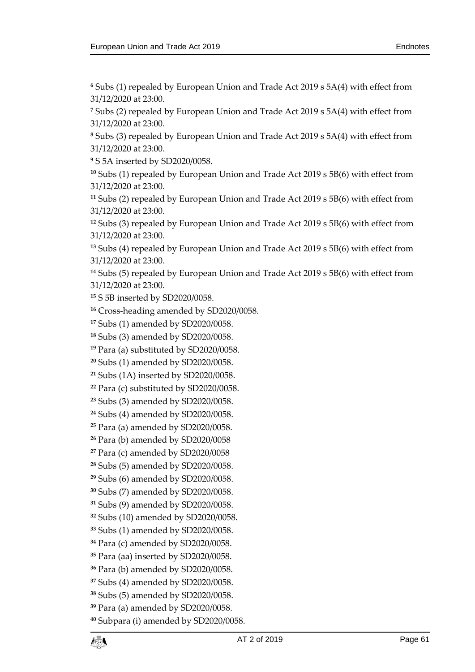$\overline{a}$ 

 Subs (1) repealed by European Union and Trade Act 2019 s 5A(4) with effect from 31/12/2020 at 23:00.

 Subs (2) repealed by European Union and Trade Act 2019 s 5A(4) with effect from 31/12/2020 at 23:00.

 Subs (3) repealed by European Union and Trade Act 2019 s 5A(4) with effect from 31/12/2020 at 23:00.

S 5A inserted by SD2020/0058.

 Subs (1) repealed by European Union and Trade Act 2019 s 5B(6) with effect from 31/12/2020 at 23:00.

 Subs (2) repealed by European Union and Trade Act 2019 s 5B(6) with effect from 31/12/2020 at 23:00.

 Subs (3) repealed by European Union and Trade Act 2019 s 5B(6) with effect from 31/12/2020 at 23:00.

 Subs (4) repealed by European Union and Trade Act 2019 s 5B(6) with effect from 31/12/2020 at 23:00.

 Subs (5) repealed by European Union and Trade Act 2019 s 5B(6) with effect from 31/12/2020 at 23:00.

S 5B inserted by SD2020/0058.

Cross-heading amended by SD2020/0058.

Subs (1) amended by SD2020/0058.

Subs (3) amended by SD2020/0058.

Para (a) substituted by SD2020/0058.

Subs (1) amended by SD2020/0058.

Subs (1A) inserted by SD2020/0058.

Para (c) substituted by SD2020/0058.

Subs (3) amended by SD2020/0058.

Subs (4) amended by SD2020/0058.

Para (a) amended by SD2020/0058.

Para (b) amended by SD2020/0058

Para (c) amended by SD2020/0058

Subs (5) amended by SD2020/0058.

Subs (6) amended by SD2020/0058.

Subs (7) amended by SD2020/0058.

Subs (9) amended by SD2020/0058.

Subs (10) amended by SD2020/0058.

Subs (1) amended by SD2020/0058.

Para (c) amended by SD2020/0058.

Para (aa) inserted by SD2020/0058.

Para (b) amended by SD2020/0058.

Subs (4) amended by SD2020/0058.

Subs (5) amended by SD2020/0058.

Para (a) amended by SD2020/0058.

Subpara (i) amended by SD2020/0058.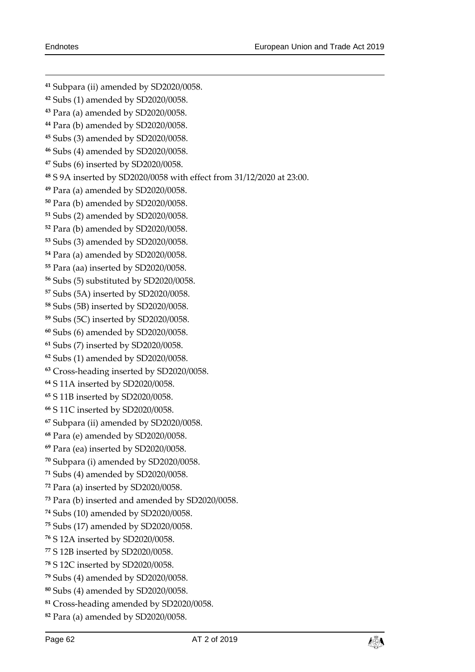Subpara (ii) amended by SD2020/0058. Subs (1) amended by SD2020/0058. Para (a) amended by SD2020/0058. Para (b) amended by SD2020/0058. Subs (3) amended by SD2020/0058. Subs (4) amended by SD2020/0058. Subs (6) inserted by SD2020/0058. S 9A inserted by SD2020/0058 with effect from 31/12/2020 at 23:00. Para (a) amended by SD2020/0058. Para (b) amended by SD2020/0058. Subs (2) amended by SD2020/0058. Para (b) amended by SD2020/0058. Subs (3) amended by SD2020/0058. Para (a) amended by SD2020/0058. Para (aa) inserted by SD2020/0058. Subs (5) substituted by SD2020/0058. Subs (5A) inserted by SD2020/0058. Subs (5B) inserted by SD2020/0058. Subs (5C) inserted by SD2020/0058. Subs (6) amended by SD2020/0058. Subs (7) inserted by SD2020/0058. Subs (1) amended by SD2020/0058. Cross-heading inserted by SD2020/0058. S 11A inserted by SD2020/0058. S 11B inserted by SD2020/0058. S 11C inserted by SD2020/0058. Subpara (ii) amended by SD2020/0058. Para (e) amended by SD2020/0058. Para (ea) inserted by SD2020/0058. Subpara (i) amended by SD2020/0058. Subs (4) amended by SD2020/0058. Para (a) inserted by SD2020/0058. Para (b) inserted and amended by SD2020/0058. Subs (10) amended by SD2020/0058. Subs (17) amended by SD2020/0058. S 12A inserted by SD2020/0058. S 12B inserted by SD2020/0058. S 12C inserted by SD2020/0058. Subs (4) amended by SD2020/0058. Subs (4) amended by SD2020/0058. Cross-heading amended by SD2020/0058. Para (a) amended by SD2020/0058.

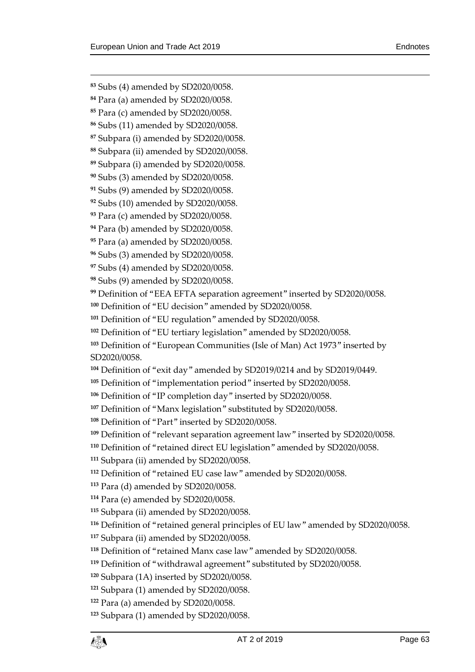$\overline{a}$ 

- Subs (4) amended by SD2020/0058.
- Para (a) amended by SD2020/0058.
- Para (c) amended by SD2020/0058.
- Subs (11) amended by SD2020/0058.
- Subpara (i) amended by SD2020/0058.
- Subpara (ii) amended by SD2020/0058.
- Subpara (i) amended by SD2020/0058.
- Subs (3) amended by SD2020/0058.
- Subs (9) amended by SD2020/0058.
- Subs (10) amended by SD2020/0058.
- Para (c) amended by SD2020/0058.
- Para (b) amended by SD2020/0058.
- Para (a) amended by SD2020/0058.
- Subs (3) amended by SD2020/0058.
- Subs (4) amended by SD2020/0058.
- Subs (9) amended by SD2020/0058.
- Definition of "EEA EFTA separation agreement" inserted by SD2020/0058.
- Definition of "EU decision" amended by SD2020/0058.
- Definition of "EU regulation" amended by SD2020/0058.
- Definition of "EU tertiary legislation" amended by SD2020/0058.
- Definition of "European Communities (Isle of Man) Act 1973" inserted by SD2020/0058.
- Definition of "exit day" amended by SD2019/0214 and by SD2019/0449.
- Definition of "implementation period" inserted by SD2020/0058.
- Definition of "IP completion day" inserted by SD2020/0058.
- Definition of "Manx legislation" substituted by SD2020/0058.
- Definition of "Part" inserted by SD2020/0058.
- Definition of "relevant separation agreement law" inserted by SD2020/0058.
- Definition of "retained direct EU legislation" amended by SD2020/0058.
- Subpara (ii) amended by SD2020/0058.
- Definition of "retained EU case law" amended by SD2020/0058.
- Para (d) amended by SD2020/0058.
- Para (e) amended by SD2020/0058.
- Subpara (ii) amended by SD2020/0058.
- Definition of "retained general principles of EU law" amended by SD2020/0058.
- Subpara (ii) amended by SD2020/0058.
- Definition of "retained Manx case law" amended by SD2020/0058.
- Definition of "withdrawal agreement" substituted by SD2020/0058.
- Subpara (1A) inserted by SD2020/0058.
- Subpara (1) amended by SD2020/0058.
- Para (a) amended by SD2020/0058.
- Subpara (1) amended by SD2020/0058.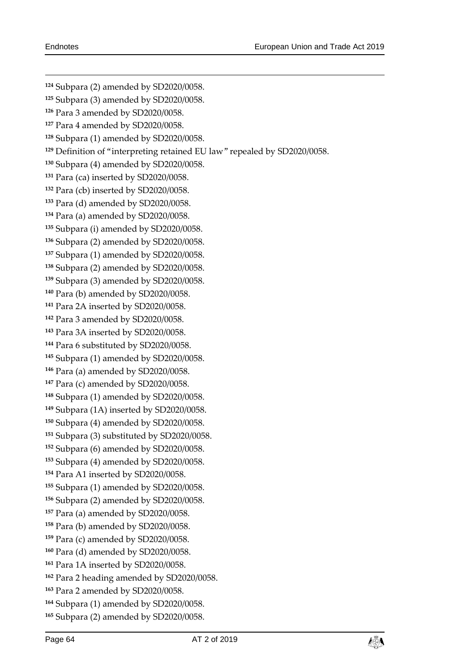Subpara (2) amended by SD2020/0058. Subpara (3) amended by SD2020/0058. Para 3 amended by SD2020/0058. Para 4 amended by SD2020/0058. Subpara (1) amended by SD2020/0058. Definition of "interpreting retained EU law" repealed by SD2020/0058. Subpara (4) amended by SD2020/0058. Para (ca) inserted by SD2020/0058. Para (cb) inserted by SD2020/0058. Para (d) amended by SD2020/0058. Para (a) amended by SD2020/0058. Subpara (i) amended by SD2020/0058. Subpara (2) amended by SD2020/0058. Subpara (1) amended by SD2020/0058. Subpara (2) amended by SD2020/0058. Subpara (3) amended by SD2020/0058. Para (b) amended by SD2020/0058. Para 2A inserted by SD2020/0058. Para 3 amended by SD2020/0058. Para 3A inserted by SD2020/0058. Para 6 substituted by SD2020/0058. Subpara (1) amended by SD2020/0058. Para (a) amended by SD2020/0058. Para (c) amended by SD2020/0058. Subpara (1) amended by SD2020/0058. Subpara (1A) inserted by SD2020/0058. Subpara (4) amended by SD2020/0058. Subpara (3) substituted by SD2020/0058. Subpara (6) amended by SD2020/0058. Subpara (4) amended by SD2020/0058. Para A1 inserted by SD2020/0058. Subpara (1) amended by SD2020/0058. Subpara (2) amended by SD2020/0058. Para (a) amended by SD2020/0058. Para (b) amended by SD2020/0058. Para (c) amended by SD2020/0058. Para (d) amended by SD2020/0058. Para 1A inserted by SD2020/0058. Para 2 heading amended by SD2020/0058. Para 2 amended by SD2020/0058. Subpara (1) amended by SD2020/0058. Subpara (2) amended by SD2020/0058.